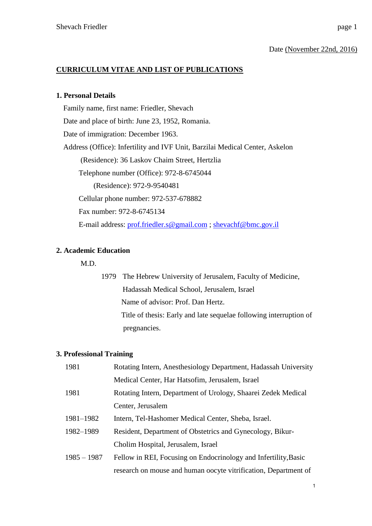### Date (November 22nd, 2016)

# **CURRICULUM VITAE AND LIST OF PUBLICATIONS**

### **1. Personal Details**

Family name, first name: Friedler, Shevach Date and place of birth: June 23, 1952, Romania. Date of immigration: December 1963. Address (Office): Infertility and IVF Unit, Barzilai Medical Center, Askelon (Residence): 36 Laskov Chaim Street, Hertzlia Telephone number (Office): 972-8-6745044 (Residence): 972-9-9540481 Cellular phone number: 972-537-678882 Fax number: 972-8-6745134 E-mail address: [prof.friedler.s@gmail.com](mailto:prof.friedler.s@gmail.com) ; [shevachf@bmc.gov.il](mailto:shevachf@bmc.gov.il)

# **2. Academic Education**

M.D.

1979 The Hebrew University of Jerusalem, Faculty of Medicine, Hadassah Medical School, Jerusalem, Israel Name of advisor: Prof. Dan Hertz. Title of thesis: Early and late sequelae following interruption of pregnancies.

# **3. Professional Training**

| 1981          | Rotating Intern, Anesthesiology Department, Hadassah University |
|---------------|-----------------------------------------------------------------|
|               | Medical Center, Har Hatsofim, Jerusalem, Israel                 |
| 1981          | Rotating Intern, Department of Urology, Shaarei Zedek Medical   |
|               | Center, Jerusalem                                               |
| 1981-1982     | Intern, Tel-Hashomer Medical Center, Sheba, Israel.             |
| 1982-1989     | Resident, Department of Obstetrics and Gynecology, Bikur-       |
|               | Cholim Hospital, Jerusalem, Israel                              |
| $1985 - 1987$ | Fellow in REI, Focusing on Endocrinology and Infertility, Basic |
|               | research on mouse and human oocyte vitrification, Department of |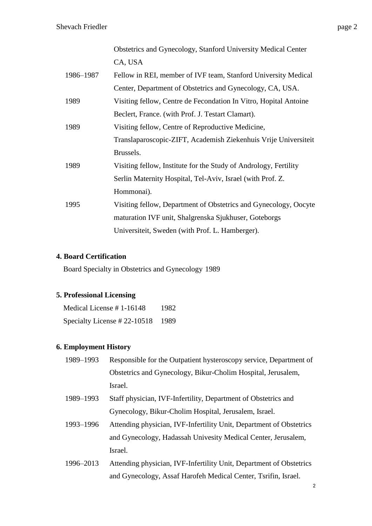|           | Obstetrics and Gynecology, Stanford University Medical Center    |
|-----------|------------------------------------------------------------------|
|           | CA, USA                                                          |
| 1986-1987 | Fellow in REI, member of IVF team, Stanford University Medical   |
|           | Center, Department of Obstetrics and Gynecology, CA, USA.        |
| 1989      | Visiting fellow, Centre de Fecondation In Vitro, Hopital Antoine |
|           | Beclert, France. (with Prof. J. Testart Clamart).                |
| 1989      | Visiting fellow, Centre of Reproductive Medicine,                |
|           | Translaparoscopic-ZIFT, Academish Ziekenhuis Vrije Universiteit  |
|           | Brussels.                                                        |
| 1989      | Visiting fellow, Institute for the Study of Andrology, Fertility |
|           | Serlin Maternity Hospital, Tel-Aviv, Israel (with Prof. Z.       |
|           | Hommonai).                                                       |
| 1995      | Visiting fellow, Department of Obstetrics and Gynecology, Oocyte |
|           | maturation IVF unit, Shalgrenska Sjukhuser, Goteborgs            |
|           | Universiteit, Sweden (with Prof. L. Hamberger).                  |

# **4. Board Certification**

Board Specialty in Obstetrics and Gynecology 1989

# **5. Professional Licensing**

| Medical License #1-16148         | 1982 |
|----------------------------------|------|
| Specialty License #22-10518 1989 |      |

# **6. Employment History**

| 1989–1993 | Responsible for the Outpatient hysteroscopy service, Department of |
|-----------|--------------------------------------------------------------------|
|           | Obstetrics and Gynecology, Bikur-Cholim Hospital, Jerusalem,       |
|           | Israel.                                                            |

- 1989–1993 Staff physician, IVF-Infertility, Department of Obstetrics and Gynecology, Bikur-Cholim Hospital, Jerusalem, Israel.
- 1993–1996 Attending physician, IVF-Infertility Unit, Department of Obstetrics and Gynecology, Hadassah Univesity Medical Center, Jerusalem, Israel.
- 1996–2013 Attending physician, IVF-Infertility Unit, Department of Obstetrics and Gynecology, Assaf Harofeh Medical Center, Tsrifin, Israel.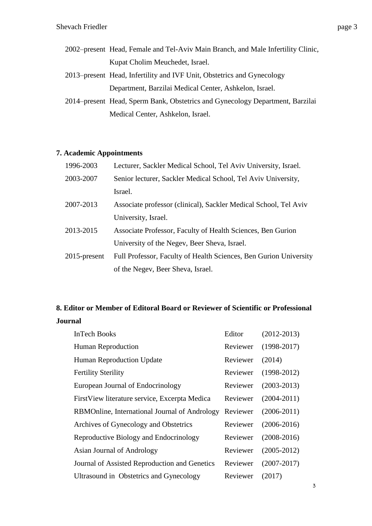- 2002–present Head, Female and Tel-Aviv Main Branch, and Male Infertility Clinic, Kupat Cholim Meuchedet, Israel.
- 2013–present Head, Infertility and IVF Unit, Obstetrics and Gynecology Department, Barzilai Medical Center, Ashkelon, Israel.
- 2014–present Head, Sperm Bank, Obstetrics and Gynecology Department, Barzilai Medical Center, Ashkelon, Israel.

# **7. Academic Appointments**

| 1996-2003    | Lecturer, Sackler Medical School, Tel Aviv University, Israel.    |
|--------------|-------------------------------------------------------------------|
| 2003-2007    | Senior lecturer, Sackler Medical School, Tel Aviv University,     |
|              | Israel.                                                           |
| 2007-2013    | Associate professor (clinical), Sackler Medical School, Tel Aviv  |
|              | University, Israel.                                               |
| 2013-2015    | Associate Professor, Faculty of Health Sciences, Ben Gurion       |
|              | University of the Negev, Beer Sheva, Israel.                      |
| 2015-present | Full Professor, Faculty of Health Sciences, Ben Gurion University |
|              | of the Negev, Beer Sheva, Israel.                                 |

# **8. Editor or Member of Editoral Board or Reviewer of Scientific or Professional Journal**

| <b>InTech Books</b>                            | Editor   | $(2012 - 2013)$ |
|------------------------------------------------|----------|-----------------|
| Human Reproduction                             | Reviewer | $(1998-2017)$   |
| <b>Human Reproduction Update</b>               | Reviewer | (2014)          |
| <b>Fertility Sterility</b>                     | Reviewer | $(1998-2012)$   |
| European Journal of Endocrinology              | Reviewer | $(2003 - 2013)$ |
| First View literature service, Excerpta Medica | Reviewer | $(2004 - 2011)$ |
| RBMOnline, International Journal of Andrology  | Reviewer | $(2006-2011)$   |
| Archives of Gynecology and Obstetrics          | Reviewer | $(2006 - 2016)$ |
| Reproductive Biology and Endocrinology         | Reviewer | $(2008-2016)$   |
| Asian Journal of Andrology                     | Reviewer | $(2005 - 2012)$ |
| Journal of Assisted Reproduction and Genetics  | Reviewer | $(2007 - 2017)$ |
| Ultrasound in Obstetrics and Gynecology        | Reviewer | (2017)          |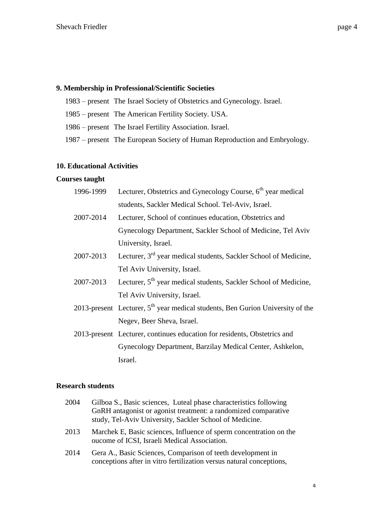# **9. Membership in Professional/Scientific Societies**

- 1983 present The Israel Society of Obstetrics and Gynecology. Israel.
- 1985 present The American Fertility Society. USA.
- 1986 present The Israel Fertility Association. Israel.
- 1987 present The European Society of Human Reproduction and Embryology.

#### **10. Educational Activities**

#### **Courses taught**

| 1996-1999 | Lecturer, Obstetrics and Gynecology Course, $6th$ year medical                   |
|-----------|----------------------------------------------------------------------------------|
|           | students, Sackler Medical School. Tel-Aviv, Israel.                              |
| 2007-2014 | Lecturer, School of continues education, Obstetrics and                          |
|           | Gynecology Department, Sackler School of Medicine, Tel Aviv                      |
|           | University, Israel.                                                              |
| 2007-2013 | Lecturer, 3 <sup>rd</sup> year medical students, Sackler School of Medicine,     |
|           | Tel Aviv University, Israel.                                                     |
| 2007-2013 | Lecturer, 5 <sup>th</sup> year medical students, Sackler School of Medicine,     |
|           | Tel Aviv University, Israel.                                                     |
|           | 2013-present Lecturer, $5th$ year medical students, Ben Gurion University of the |
|           | Negev, Beer Sheva, Israel.                                                       |
|           | 2013-present Lecturer, continues education for residents, Obstetrics and         |
|           | Gynecology Department, Barzilay Medical Center, Ashkelon,                        |
|           | Israel.                                                                          |

#### **Research students**

| 2004 | Gilboa S., Basic sciences, Luteal phase characteristics following<br>GnRH antagonist or agonist treatment: a randomized comparative<br>study, Tel-Aviv University, Sackler School of Medicine. |
|------|------------------------------------------------------------------------------------------------------------------------------------------------------------------------------------------------|
| 2013 | Marchek E, Basic sciences, Influence of sperm concentration on the<br>oucome of ICSI, Israeli Medical Association.                                                                             |
| 2014 | Gera A., Basic Sciences, Comparison of teeth development in<br>conceptions after in vitro fertilization versus natural conceptions,                                                            |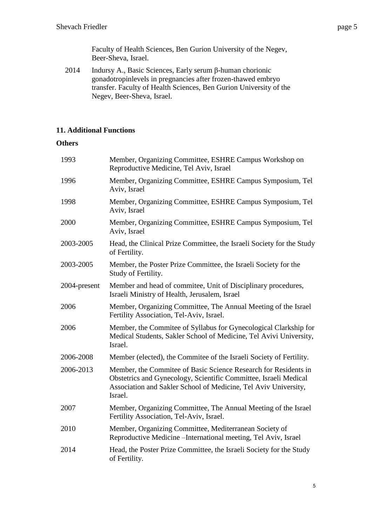Faculty of Health Sciences, Ben Gurion University of the Negev, Beer-Sheva, Israel.

2014 Indursy A., Basic Sciences, Early serum β-human chorionic gonadotropinlevels in pregnancies after frozen-thawed embryo transfer. Faculty of Health Sciences, Ben Gurion University of the Negev, Beer-Sheva, Israel.

# **11. Additional Functions**

# **Others**

| 1993         | Member, Organizing Committee, ESHRE Campus Workshop on<br>Reproductive Medicine, Tel Aviv, Israel                                                                                                                 |
|--------------|-------------------------------------------------------------------------------------------------------------------------------------------------------------------------------------------------------------------|
| 1996         | Member, Organizing Committee, ESHRE Campus Symposium, Tel<br>Aviv, Israel                                                                                                                                         |
| 1998         | Member, Organizing Committee, ESHRE Campus Symposium, Tel<br>Aviv, Israel                                                                                                                                         |
| 2000         | Member, Organizing Committee, ESHRE Campus Symposium, Tel<br>Aviv, Israel                                                                                                                                         |
| 2003-2005    | Head, the Clinical Prize Committee, the Israeli Society for the Study<br>of Fertility.                                                                                                                            |
| 2003-2005    | Member, the Poster Prize Committee, the Israeli Society for the<br>Study of Fertility.                                                                                                                            |
| 2004-present | Member and head of commitee, Unit of Disciplinary procedures,<br>Israeli Ministry of Health, Jerusalem, Israel                                                                                                    |
| 2006         | Member, Organizing Committee, The Annual Meeting of the Israel<br>Fertility Association, Tel-Aviv, Israel.                                                                                                        |
| 2006         | Member, the Commitee of Syllabus for Gynecological Clarkship for<br>Medical Students, Sakler School of Medicine, Tel Avivi University,<br>Israel.                                                                 |
| 2006-2008    | Member (elected), the Commitee of the Israeli Society of Fertility.                                                                                                                                               |
| 2006-2013    | Member, the Commitee of Basic Science Research for Residents in<br>Obstetrics and Gynecology, Scientific Committee, Israeli Medical<br>Association and Sakler School of Medicine, Tel Aviv University,<br>Israel. |
| 2007         | Member, Organizing Committee, The Annual Meeting of the Israel<br>Fertility Association, Tel-Aviv, Israel.                                                                                                        |
| 2010         | Member, Organizing Committee, Mediterranean Society of<br>Reproductive Medicine - International meeting, Tel Aviv, Israel                                                                                         |
| 2014         | Head, the Poster Prize Committee, the Israeli Society for the Study<br>of Fertility.                                                                                                                              |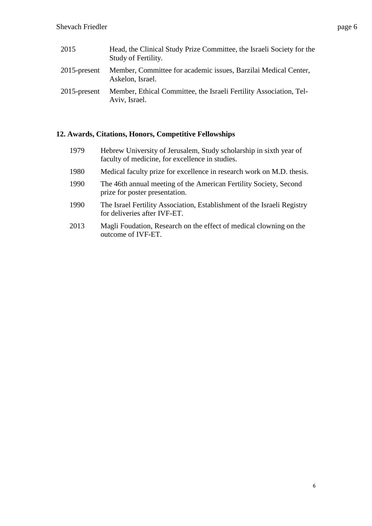| 2015            | Head, the Clinical Study Prize Committee, the Israeli Society for the<br>Study of Fertility. |
|-----------------|----------------------------------------------------------------------------------------------|
| $2015$ -present | Member, Committee for academic issues, Barzilai Medical Center,<br>Askelon, Israel.          |
| $2015$ -present | Member, Ethical Committee, the Israeli Fertility Association, Tel-<br>Aviv, Israel.          |

# **12. Awards, Citations, Honors, Competitive Fellowships**

| 1979 | Hebrew University of Jerusalem, Study scholarship in sixth year of<br>faculty of medicine, for excellence in studies. |
|------|-----------------------------------------------------------------------------------------------------------------------|
| 1980 | Medical faculty prize for excellence in research work on M.D. thesis.                                                 |
| 1990 | The 46th annual meeting of the American Fertility Society, Second<br>prize for poster presentation.                   |
| 1990 | The Israel Fertility Association, Establishment of the Israeli Registry<br>for deliveries after IVF-ET.               |
| 2013 | Magli Foudation, Research on the effect of medical clowning on the<br>outcome of IVF-ET.                              |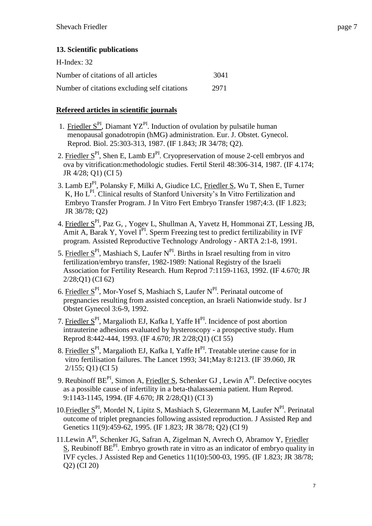| $H$ -Index: 32                               |      |
|----------------------------------------------|------|
| Number of citations of all articles          | 3041 |
| Number of citations excluding self citations | 2971 |

# **Refereed articles in scientific journals**

- 1. Friedler  $S<sup>PI</sup>$ , Diamant YZ<sup>PI</sup>. Induction of ovulation by pulsatile human menopausal gonadotropin (hMG) administration. Eur. J. Obstet. Gynecol. Reprod. Biol. 25:303-313, 1987. (IF 1.843; JR 34/78; Q2).
- 2. Friedler  $S<sup>PI</sup>$ , Shen E, Lamb EJ<sup>PI</sup>. Cryopreservation of mouse 2-cell embryos and ova by vitrification:methodologic studies. Fertil Steril 48:306-314, 1987. (IF 4.174; JR 4/28; Q1) (CI 5)
- 3. Lamb EJ<sup>PI</sup>, Polansky F, Milki A, Giudice LC, Friedler S, Wu T, Shen E, Turner K, Ho  $L^{PI}$ . Clinical results of Stanford University's In Vitro Fertilization and Embryo Transfer Program. J In Vitro Fert Embryo Transfer 1987;4:3. (IF 1.823; JR 38/78; Q2)
- 4. Friedler SPI, Paz G, , Yogev L, Shullman A, Yavetz H, Hommonai ZT, Lessing JB, Amit A, Barak Y, Yovel I<sup>PI</sup>. Sperm Freezing test to predict fertilizability in IVF program. Assisted Reproductive Technology Andrology - ARTA 2:1-8, 1991.
- 5. Friedler  $S<sup>PI</sup>$ , Mashiach S, Laufer N<sup>PI</sup>. Births in Israel resulting from in vitro fertilization/embryo transfer, 1982-1989: National Registry of the Israeli Association for Fertility Research. Hum Reprod 7:1159-1163, 1992. (IF 4.670; JR 2/28;Q1) (CI 62)
- 6. Friedler S<sup>PI</sup>, Mor-Yosef S, Mashiach S, Laufer N<sup>PI</sup>. Perinatal outcome of pregnancies resulting from assisted conception, an Israeli Nationwide study. Isr J Obstet Gynecol 3:6-9, 1992.
- 7. Friedler  $S<sup>PI</sup>$ , Margalioth EJ, Kafka I, Yaffe H<sup>PI</sup>. Incidence of post abortion intrauterine adhesions evaluated by hysteroscopy - a prospective study. Hum Reprod 8:442-444, 1993. (IF 4.670; JR 2/28;Q1) (CI 55)
- 8. Friedler  $S<sup>PI</sup>$ , Margalioth EJ, Kafka I, Yaffe H<sup>PI</sup>. Treatable uterine cause for in vitro fertilisation failures. The Lancet 1993; 341;May 8:1213. (IF 39.060, JR 2/155; Q1) (CI 5)
- 9. Reubinoff BE<sup>PI</sup>, Simon A, Friedler S, Schenker GJ, Lewin A<sup>PI</sup>. Defective oocytes as a possible cause of infertility in a beta-thalassaemia patient. Hum Reprod. 9:1143-1145, 1994. (IF 4.670; JR 2/28;Q1) (CI 3)
- 10. Friedler  $S<sup>PI</sup>$ , Mordel N, Lipitz S, Mashiach S, Glezermann M, Laufer N<sup>PI</sup>. Perinatal outcome of triplet pregnancies following assisted reproduction. J Assisted Rep and Genetics 11(9):459-62, 1995. (IF 1.823; JR 38/78; Q2) (CI 9)
- 11.Lewin API, Schenker JG, Safran A, Zigelman N, Avrech O, Abramov Y, Friedler  $S$ , Reubinoff BE<sup>PI</sup>. Embryo growth rate in vitro as an indicator of embryo quality in IVF cycles. J Assisted Rep and Genetics 11(10):500-03, 1995. (IF 1.823; JR 38/78; Q2) (CI 20)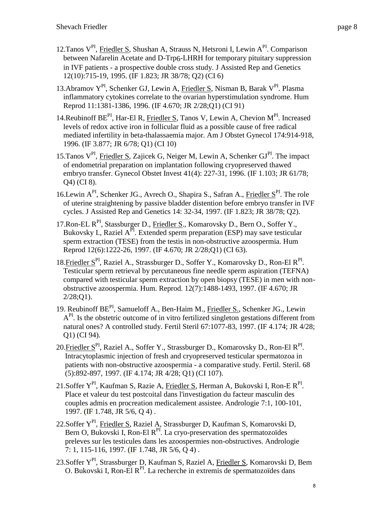- 12. Tanos V<sup>PI</sup>, Friedler S, Shushan A, Strauss N, Hetsroni I, Lewin A<sup>PI</sup>. Comparison between Nafarelin Acetate and D-Trp6-LHRH for temporary pituitary suppression in IVF patients - a prospective double cross study. J Assisted Rep and Genetics 12(10):715-19, 1995. (IF 1.823; JR 38/78; Q2) (CI 6)
- 13.Abramov Y<sup>PI</sup>, Schenker GJ, Lewin A, Friedler S, Nisman B, Barak V<sup>PI</sup>. Plasma inflammatory cytokines correlate to the ovarian hyperstimulation syndrome. Hum Reprod 11:1381-1386, 1996. (IF 4.670; JR 2/28;Q1) (CI 91)
- 14. Reubinoff BE<sup>PI</sup>, Har-El R, Friedler S, Tanos V, Lewin A, Chevion M<sup>PI</sup>. Increased levels of redox active iron in follicular fluid as a possible cause of free radical mediated infertility in beta-thalassaemia major. Am J Obstet Gynecol 174:914-918, 1996. (IF 3.877; JR 6/78; Q1) (CI 10)
- 15. Tanos  $V^{PI}$ , Friedler S, Zajicek G, Neiger M, Lewin A, Schenker GJ $^{PI}$ . The impact of endometrial preparation on implantation following cryopreserved thawed embryo transfer. Gynecol Obstet Invest 41(4): 227-31, 1996. (IF 1.103; JR 61/78; Q4) (CI 8).
- 16. Lewin  $A^{PI}$ , Schenker JG., Avrech O., Shapira S., Safran A., Friedler  $S^{PI}$ . The role of uterine straightening by passive bladder distention before embryo transfer in IVF cycles. J Assisted Rep and Genetics 14: 32-34, 1997. (IF 1.823; JR 38/78; Q2).
- 17. Ron-EL R<sup>PI</sup>, Stassburger D., Friedler S., Komarovsky D., Bern O., Soffer Y., Bukovsky I., Raziel A<sup>PI</sup>. Extended sperm preparation (ESP) may save testicular sperm extraction (TESE) from the testis in non-obstructive azoospermia. Hum Reprod 12(6):1222-26, 1997. (IF 4.670; JR 2/28;Q1) (CI 63).
- 18. Friedler S<sup>PI</sup>, Raziel A., Strassburger D., Soffer Y., Komarovsky D., Ron-El R<sup>PI</sup>. Testicular sperm retrieval by percutaneous fine needle sperm aspiration (TEFNA) compared with testicular sperm extraction by open biopsy (TESE) in men with nonobstructive azoospermia. Hum. Reprod. 12(7):1488-1493, 1997. (IF 4.670; JR 2/28;Q1).
- 19. Reubinoff BE<sup>PI</sup>, Samueloff A., Ben-Haim M., Friedler S., Schenker JG., Lewin  $A<sup>PI</sup>$ . Is the obstetric outcome of in vitro fertilized singleton gestations different from natural ones? A controlled study. Fertil Steril 67:1077-83, 1997. (IF 4.174; JR 4/28; Q1) (CI 94).
- 20. Friedler S<sup>PI</sup>, Raziel A., Soffer Y., Strassburger D., Komarovsky D., Ron-El R<sup>PI</sup>. Intracytoplasmic injection of fresh and cryopreserved testicular spermatozoa in patients with non-obstructive azoospermia - a comparative study. Fertil. Steril. 68 (5):892-897, 1997. (IF 4.174; JR 4/28; Q1) (CI 107).
- 21. Soffer Y<sup>PI</sup>, [Kaufman S,](http://www.scopus.com/authid/detail.url?authorId=14419995000&eid=2-s2.0-33748276306) [Razie A,](http://www.scopus.com/authid/detail.url?authorId=14420551700&eid=2-s2.0-33748276306) [Friedler S,](http://www.scopus.com/authid/detail.url?authorId=7003413385&eid=2-s2.0-33748276306) [Herman A,](http://www.scopus.com/authid/detail.url?authorId=7202683978&eid=2-s2.0-33748276306) [Bukovski I,](http://www.scopus.com/authid/detail.url?authorId=6507265648&eid=2-s2.0-33748276306) [Ron-E R](http://www.scopus.com/authid/detail.url?authorId=14420361400&eid=2-s2.0-33748276306)<sup>PI</sup>. Place et valeur du test postcoital dans l'investigation du facteur masculin des couples admis en procreation medicalement assistee. [Andrologie](http://www.scopus.com/source/sourceInfo.url?sourceId=27113&origin=recordpage) 7:1, 100-101, 1997. (IF 1.748, JR 5/6, Q 4) .
- 22[.Soffer Y](http://www.scopus.com/authid/detail.url?authorId=7006628268&eid=2-s2.0-33748267122)<sup>PI</sup>, [Friedler S,](http://www.scopus.com/authid/detail.url?authorId=7003413385&eid=2-s2.0-33748267122) [Raziel A,](http://www.scopus.com/authid/detail.url?authorId=55405874200&eid=2-s2.0-33748267122) [Strassburger D,](http://www.scopus.com/authid/detail.url?authorId=7003800047&eid=2-s2.0-33748267122) [Kaufman S,](http://www.scopus.com/authid/detail.url?authorId=14419995000&eid=2-s2.0-33748267122) [Komarovski D,](http://www.scopus.com/authid/detail.url?authorId=6504277358&eid=2-s2.0-33748267122) [Bern](http://www.scopus.com/authid/detail.url?authorId=6602422532&eid=2-s2.0-33748267122) O, [Bukovski I,](http://www.scopus.com/authid/detail.url?authorId=6507265648&eid=2-s2.0-33748267122) Ron-El  $R<sup>PI</sup>$ . La cryo-preservation des spermatozoïdes preleves sur les testicules dans les azoospermies non-obstructives. [Andrologie](http://www.scopus.com/source/sourceInfo.url?sourceId=27113&origin=recordpage) 7: 1, 115-116, 1997. (IF 1.748, JR 5/6, Q 4) .
- 23[.Soffer Y](http://www.scopus.com/authid/detail.url?authorId=7006628268&eid=2-s2.0-33748281204)<sup>PI</sup>, [Strassburger D,](http://www.scopus.com/authid/detail.url?authorId=7003800047&eid=2-s2.0-33748281204) [Kaufman S,](http://www.scopus.com/authid/detail.url?authorId=14419995000&eid=2-s2.0-33748281204) [Raziel A,](http://www.scopus.com/authid/detail.url?authorId=55405874200&eid=2-s2.0-33748281204) <u>Friedler S</u>, [Komarovski D,](http://www.scopus.com/authid/detail.url?authorId=6504277358&eid=2-s2.0-33748281204) [Bem](http://www.scopus.com/authid/detail.url?authorId=14419834200&eid=2-s2.0-33748281204) [O.](http://www.scopus.com/authid/detail.url?authorId=14419834200&eid=2-s2.0-33748281204) [Bukovski I,](http://www.scopus.com/authid/detail.url?authorId=6507265648&eid=2-s2.0-33748281204) Ron-El  $R^{PI}$ . La recherche in extremis de spermatozoïdes dans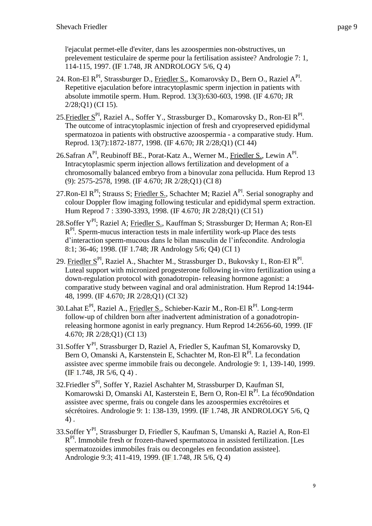l'ejaculat permet-elle d'eviter, dans les azoospermies non-obstructives, un prelevement testiculaire de sperme pour la fertilisation assistee? [Andrologie](http://www.scopus.com/source/sourceInfo.url?sourceId=27113&origin=recordpage) 7: 1, 114-115, 1997. (IF 1.748, JR ANDROLOGY 5/6, Q 4)

- 24. Ron-El R<sup>PI</sup>, Strassburger D., Friedler S., Komarovsky D., Bern O., Raziel A<sup>PI</sup>. Repetitive ejaculation before intracytoplasmic sperm injection in patients with absolute immotile sperm. Hum. Reprod. 13(3):630-603, 1998. (IF 4.670; JR 2/28;Q1) (CI 15).
- 25. Friedler S<sup>PI</sup>, Raziel A., Soffer Y., Strassburger D., Komarovsky D., Ron-El R<sup>PI</sup>. The outcome of intracytoplasmic injection of fresh and cryopreserved epididymal spermatozoa in patients with obstructive azoospermia - a comparative study. Hum. Reprod. 13(7):1872-1877, 1998. (IF 4.670; JR 2/28;Q1) (CI 44)
- 26. Safran A<sup>PI</sup>, Reubinoff BE., Porat-Katz A., Werner M., *Friedler S.*, Lewin A<sup>PI</sup>. Intracytoplasmic sperm injection allows fertilization and development of a chromosomally balanced embryo from a binovular zona pellucida. Hum Reprod 13 (9): 2575-2578, 1998. (IF 4.670; JR 2/28;Q1) (CI 8)
- 27. Ron-El R<sup>PI</sup>; Strauss S; Friedler S., Schachter M; Raziel A<sup>PI</sup>. Serial sonography and colour Doppler flow imaging following testicular and epididymal sperm extraction. Hum Reprod 7 : 3390-3393, 1998. (IF 4.670; JR 2/28;Q1) (CI 51)
- 28.Soffer Y<sup>PI</sup>; Raziel A; Friedler S., Kauffman S; Strassburger D; Herman A; Ron-El  $R<sup>PI</sup>$ . Sperm-mucus interaction tests in male infertility work-up Place des tests d'interaction sperm-mucous dans le bilan masculin de l'infecondite. Andrologia 8:1; 36-46; 1998. (IF 1.748; JR Andrology 5/6; Q4) (CI 1)
- 29. <u>Friedler S<sup>PI</sup>,</u> Raziel A., Shachter M., Strassburger D., Bukovsky I., Ron-El R<sup>PI</sup>. Luteal support with micronized progesterone following in-vitro fertilization using a down-regulation protocol with gonadotropin- releasing hormone agonist: a comparative study between vaginal and oral administration. Hum Reprod 14:1944- 48, 1999. (IF 4.670; JR 2/28;Q1) (CI 32)
- 30. Lahat E<sup>PI</sup>, Raziel A., Friedler S., Schieber-Kazir M., Ron-El R<sup>PI</sup>. Long-term follow-up of children born after inadvertent administration of a gonadotropinreleasing hormone agonist in early pregnancy. Hum Reprod 14:2656-60, 1999. (IF 4.670; JR 2/28;Q1) (CI 13)
- 31[.Soffer Y](http://www.scopus.com/authid/detail.url?authorId=7006628268&eid=2-s2.0-33748263807)<sup>PI</sup>, [Strassburger D,](http://www.scopus.com/authid/detail.url?authorId=7003800047&eid=2-s2.0-33748263807) [Raziel A,](http://www.scopus.com/authid/detail.url?authorId=7005896011&eid=2-s2.0-33748263807) [Friedler](http://www.scopus.com/authid/detail.url?authorId=7003413385&eid=2-s2.0-33748263807) S, [Kaufman SI,](http://www.scopus.com/authid/detail.url?authorId=14419995000&eid=2-s2.0-33748263807) [Komarovsky D,](http://www.scopus.com/authid/detail.url?authorId=6506725415&eid=2-s2.0-33748263807) [Bern O,](http://www.scopus.com/authid/detail.url?authorId=6602422532&eid=2-s2.0-33748263807) [Omanski A,](http://www.scopus.com/authid/detail.url?authorId=6506048582&eid=2-s2.0-33748263807) [Karstenstein E,](http://www.scopus.com/authid/detail.url?authorId=14419997600&eid=2-s2.0-33748263807) [Schachter M,](http://www.scopus.com/authid/detail.url?authorId=7103231411&eid=2-s2.0-33748263807) [Ron-El R](http://www.scopus.com/authid/detail.url?authorId=7006484548&eid=2-s2.0-33748263807)<sup>PI</sup>. La fecondation assistee avec sperme immobile frais ou decongele. [Andrologie](http://www.scopus.com/source/sourceInfo.url?sourceId=27113&origin=recordpage) 9: 1, 139-140, 1999. (IF 1.748, JR 5/6, Q 4) .
- 32. Friedler S<sup>PI</sup>, [Soffer Y,](http://www.scopus.com/authid/detail.url?authorId=7006628268&eid=2-s2.0-33748261652) [Raziel Aschahter](http://www.scopus.com/authid/detail.url?authorId=14420404200&eid=2-s2.0-33748261652) M, [Strassburper D,](http://www.scopus.com/authid/detail.url?authorId=14420496200&eid=2-s2.0-33748261652) [Kaufman](http://www.scopus.com/authid/detail.url?authorId=14419995000&eid=2-s2.0-33748261652) SI, [Komarowski](http://www.scopus.com/authid/detail.url?authorId=14420127200&eid=2-s2.0-33748261652) D, [Omanski AI,](http://www.scopus.com/authid/detail.url?authorId=6506048582&eid=2-s2.0-33748261652) [Kasterstein E,](http://www.scopus.com/authid/detail.url?authorId=12805898800&eid=2-s2.0-33748261652) [Bern O,](http://www.scopus.com/authid/detail.url?authorId=6602422532&eid=2-s2.0-33748261652) [Ron-El R](http://www.scopus.com/authid/detail.url?authorId=7006484548&eid=2-s2.0-33748261652)<sup>PI</sup>. La féco90ndation assistee avec sperme, frais ou congele dans les azoospermies excrétoires et sécrétoires. [Andrologie](http://www.scopus.com/source/sourceInfo.url?sourceId=27113&origin=recordpage) 9: 1: 138-139, 1999. (IF 1.748, JR ANDROLOGY 5/6, Q 4) .
- 33[.Soffer Y](http://www.scopus.com/authid/detail.url?authorId=7006628268&eid=2-s2.0-0032704381)<sup>PI</sup>, [Strassburger D,](http://www.scopus.com/authid/detail.url?authorId=7003800047&eid=2-s2.0-0032704381) [Friedler S,](http://www.scopus.com/authid/detail.url?authorId=7003413385&eid=2-s2.0-0032704381) [Kaufman S,](http://www.scopus.com/authid/detail.url?authorId=14419995000&eid=2-s2.0-0032704381) [Umanski A,](http://www.scopus.com/authid/detail.url?authorId=8091299800&eid=2-s2.0-0032704381) [Raziel A,](http://www.scopus.com/authid/detail.url?authorId=55405874200&eid=2-s2.0-0032704381) [Ron-El](http://www.scopus.com/authid/detail.url?authorId=7006484548&eid=2-s2.0-0032704381) [R](http://www.scopus.com/authid/detail.url?authorId=7006484548&eid=2-s2.0-0032704381)<sup>PI</sup>. Immobile fresh or frozen-thawed spermatozoa in assisted fertilization. [Les spermatozoides immobiles frais ou decongeles en fecondation assistee]. [Andrologie](http://www.scopus.com/source/sourceInfo.url?sourceId=27113&origin=recordpage) 9:3; 411-419, 1999. (IF 1.748, JR 5/6, Q 4)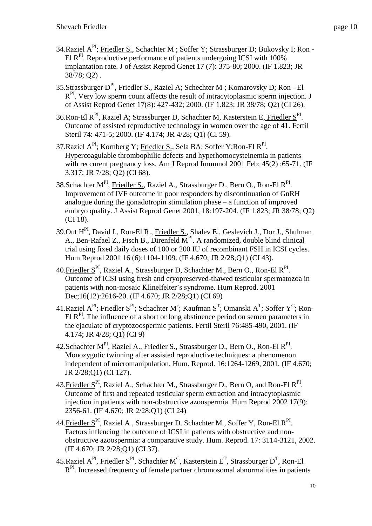- 34.Raziel A<sup>PI</sup>; Friedler S., Schachter M ; Soffer Y; Strassburger D; Bukovsky I; Ron -El R<sup>PI</sup>. Reproductive performance of patients undergoing ICSI with 100% implantation rate. J of Assist Reprod Genet 17 (7): 375-80; 2000. (IF 1.823; JR 38/78; Q2) .
- 35.Strassburger D<sup>PI</sup>, Friedler S., Raziel A; Schechter M ; Komarovsky D; Ron El R<sup>PI</sup>. Very low sperm count affects the result of intracytoplasmic sperm injection. J of Assist Reprod Genet 17(8): 427-432; 2000. (IF 1.823; JR 38/78; Q2) (CI 26).
- 36. Ron-El R<sup>PI</sup>, Raziel A; Strassburger D, Schachter M, Kasterstein E, Friedler S<sup>PI</sup>. Outcome of assisted reproductive technology in women over the age of 41. Fertil Steril 74: 471-5; 2000. (IF 4.174; JR 4/28; O1) (CI 59).
- 37. Raziel A<sup>PI</sup>; Kornberg Y; Friedler S., Sela BA; Soffer Y; Ron-El R<sup>PI</sup>. Hypercoagulable thrombophilic defects and hyperhomocysteinemia in patients with reccurent pregnancy loss. Am J Reprod Immunol 2001 Feb; 45(2): 65-71. (IF 3.317; JR 7/28; Q2) (CI 68).
- 38.Schachter M<sup>PI</sup>, Friedler S., Raziel A., Strassburger D., Bern O., Ron-El R<sup>PI</sup>. Improvement of IVF outcome in poor responders by discontinuation of GnRH analogue during the gonadotropin stimulation phase – a function of improved embryo quality. J Assist Reprod Genet 2001, 18:197-204. (IF 1.823; JR 38/78; Q2) (CI 18).
- 39.Out HPI, David I., Ron-El R., Friedler S., Shalev E., Geslevich J., Dor J., Shulman A., Ben-Rafael Z., Fisch B., Direnfeld  $M<sup>PI</sup>$ . A randomized, double blind clinical trial using fixed daily doses of 100 or 200 IU of recombinant FSH in ICSI cycles. Hum Reprod 2001 16 (6):1104-1109. (IF 4.670; JR 2/28;Q1) (CI 43).
- 40. Friedler S<sup>PI</sup>, Raziel A., Strassburger D, Schachter M., Bern O., Ron-El R<sup>PI</sup>. Outcome of ICSI using fresh and cryopreserved-thawed testicular spermatozoa in patients with non-mosaic Klinelfelter's syndrome. Hum Reprod. 2001 Dec;16(12):2616-20. (IF 4.670; JR 2/28;Q1) (CI 69)
- 41.Raziel A<sup>PI</sup>; Friedler S<sup>PI</sup>; Schachter M<sup>c</sup>; Kaufman S<sup>T</sup>; Omanski A<sup>T</sup>; Soffer Y<sup>C</sup>; Ron-El  $R<sup>PI</sup>$ . The influence of a short or long abstinence period on semen parameters in the ejaculate of cryptozoospermic patients. Fertil Steril 76:485-490, 2001. (IF 4.174; JR 4/28; Q1) (CI 9)
- 42.Schachter M<sup>PI</sup>, Raziel A., Friedler S., Strassburger D., Bern O., Ron-El R<sup>PI</sup>. Monozygotic twinning after assisted reproductive techniques: a phenomenon independent of micromanipulation. Hum. Reprod. 16:1264-1269, 2001. (IF 4.670; JR 2/28;Q1) (CI 127).
- 43. Friedler S<sup>PI</sup>, Raziel A., Schachter M., Strassburger D., Bern O, and Ron-El R<sup>PI</sup>. Outcome of first and repeated testicular sperm extraction and intracytoplasmic injection in patients with non-obstructive azoospermia. Hum Reprod 2002 17(9): 2356-61. (IF 4.670; JR 2/28;Q1) (CI 24)
- 44. Friedler S<sup>PI</sup>, Raziel A., Strassburger D. Schachter M., Soffer Y, Ron-El R<sup>PI</sup>. Factors inflencing the outcome of ICSI in patients with obstructive and nonobstructive azoospermia: a comparative study. Hum. Reprod. 17: 3114-3121, 2002. (IF 4.670; JR 2/28;Q1) (CI 37).
- 45. Raziel A<sup>PI</sup>, Friedler S<sup>PI</sup>, Schachter M<sup>C</sup>, Kasterstein E<sup>T</sup>, Strassburger D<sup>T</sup>, Ron-El  $R<sup>PI</sup>$ . Increased frequency of female partner chromosomal abnormalities in patients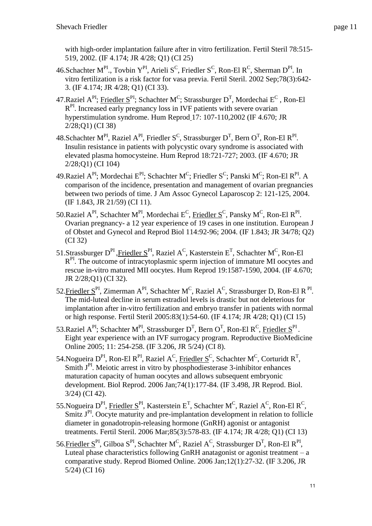with high-order implantation failure after in vitro fertilization. Fertil Steril 78:515- 519, 2002. (IF 4.174; JR 4/28; Q1) (CI 25)

- 46. Schachter M<sup>PI</sup>., Tovbin Y<sup>PI</sup>, Arieli S<sup>C</sup>, Friedler S<sup>C</sup>, Ron-El R<sup>C</sup>, Sherman D<sup>PI</sup>. In vitro fertilization is a risk factor for vasa previa. Fertil Steril. 2002 Sep;78(3):642- 3. (IF 4.174; JR 4/28; Q1) (CI 33).
- 47.Raziel A<sup>PI</sup>; Friedler S<sup>PI</sup>; Schachter M<sup>C</sup>; Strassburger D<sup>T</sup>, Mordechai E<sup>C</sup>, Ron-El  $R<sup>PI</sup>$ . Increased early pregnancy loss in IVF patients with severe ovarian hyperstimulation syndrome. Hum Reprod 17: 107-110,2002 (IF 4.670; JR 2/28;Q1) (CI 38)
- 48.Schachter M<sup>PI</sup>, Raziel A<sup>PI</sup>, Friedler S<sup>C</sup>, Strassburger D<sup>T</sup>, Bern O<sup>T</sup>, Ron-El R<sup>PI</sup>. Insulin resistance in patients with polycystic ovary syndrome is associated with elevated plasma homocysteine. Hum Reprod 18:721-727; 2003. (IF 4.670; JR 2/28;Q1) (CI 104)
- 49.Raziel A<sup>PI</sup>; Mordechai E<sup>PI</sup>; Schachter M<sup>C</sup>; Friedler S<sup>C</sup>; Panski M<sup>C</sup>; Ron-El R<sup>PI</sup>. A comparison of the incidence, presentation and management of ovarian pregnancies between two periods of time. J Am Assoc Gynecol Laparoscop 2: 121-125, 2004. (IF 1.843, JR 21/59) (CI 11).
- 50.Raziel  $A^{PI}$ , Schachter M<sup>PI</sup>, Mordechai E<sup>C</sup>, Friedler S<sup>C</sup>, Pansky M<sup>C</sup>, Ron-El R<sup>PI</sup>. Ovarian pregnancy- a 12 year experience of 19 cases in one institution. European J of Obstet and Gynecol and Reprod Biol 114:92-96; 2004. (IF 1.843; JR 34/78; Q2) (CI 32)
- 51.Strassburger D<sup>PI</sup>, Friedler S<sup>PI</sup>, Raziel A<sup>C</sup>, Kasterstein E<sup>T</sup>, Schachter M<sup>C</sup>, Ron-El  $R<sup>PI</sup>$ . The outcome of intracytoplasmic sperm injection of immature MI oocytes and rescue in-vitro matured MII oocytes. Hum Reprod 19:1587-1590, 2004. (IF 4.670; JR 2/28;Q1) (CI 32).
- 52. Friedler  $S<sup>PI</sup>$ , Zimerman A<sup>PI</sup>, Schachter M<sup>C</sup>, Raziel A<sup>C</sup>, Strassburger D, Ron-El R<sup>PI</sup>. The mid-luteal decline in serum estradiol levels is drastic but not deleterious for implantation after in-vitro fertilization and embryo transfer in patients with normal or high response. Fertil Steril 2005:83(1):54-60. (IF 4.174; JR 4/28; Q1) (CI 15)
- 53.Raziel  $A^{PI}$ ; Schachter M<sup>PI</sup>, Strassburger D<sup>T</sup>, Bern O<sup>T</sup>, Ron-El R<sup>C</sup>, Friedler S<sup>PI</sup>. Eight year experience with an IVF surrogacy program. Reproductive BioMedicine Online 2005; 11: 254-258. (IF 3.206, JR 5/24) (CI 8).
- 54. Nogueira D<sup>PI</sup>, Ron-El R<sup>PI</sup>, Raziel A<sup>C</sup>, Friedler S<sup>C</sup>, Schachter M<sup>C</sup>, Corturidt R<sup>T</sup>, Smith  $J<sup>PI</sup>$ . Meiotic arrest in vitro by phosphodiesterase 3-inhibitor enhances maturation capacity of human oocytes and allows subsequent embryonic development. Biol Reprod. 2006 Jan;74(1):177-84. (IF 3.498, JR Reprod. Biol. 3/24) (CI 42).
- 55. Nogueira D<sup>PI</sup>, Friedler S<sup>PI</sup>, Kasterstein E<sup>T</sup>, Schachter M<sup>C</sup>, Raziel A<sup>C</sup>, Ron-El R<sup>C</sup>, Smitz J<sup>PI</sup>. Oocyte maturity and pre-implantation development in relation to follicle diameter in gonadotropin-releasing hormone (GnRH) agonist or antagonist treatments. Fertil Steril. 2006 Mar;85(3):578-83. (IF 4.174; JR 4/28; Q1) (CI 13)
- 56. Friedler  $S^{PI}$ , Gilboa  $S^{PI}$ , Schachter M<sup>C</sup>, Raziel A<sup>C</sup>, Strassburger D<sup>T</sup>, Ron-El R<sup>PI</sup>, Luteal phase characteristics following GnRH anatagonist or agonist treatment – a comparative study. Reprod Biomed Online. 2006 Jan;12(1):27-32. (IF 3.206, JR 5/24) (CI 16)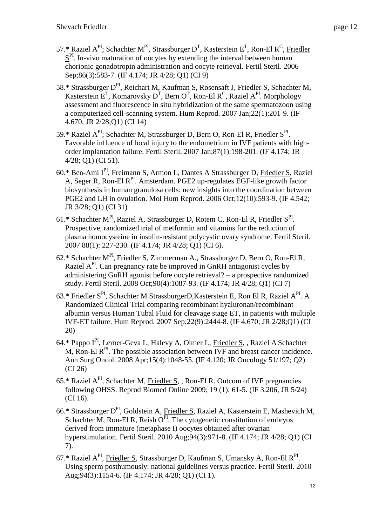- 57.\* Raziel A<sup>PI</sup>; Schachter M<sup>PI</sup>, Strassburger D<sup>T</sup>, Kasterstein E<sup>T</sup>, Ron-El R<sup>C</sup>, Friedler  $S<sup>PI</sup>$ . In-vivo maturation of oocytes by extending the interval between human chorionic gonadotropin administration and oocyte retrieval. Fertil Steril. 2006 Sep;86(3):583-7. (IF 4.174; JR 4/28; Q1) (CI 9)
- 58.\* Strassburger D<sup>PI</sup>, Reichart M, Kaufman S, Rosensaft J, Friedler S, Schachter M, Kasterstein E<sup>T</sup>, Komarovsky D<sup>T</sup>, Bern O<sup>T</sup>, Ron-El R<sup>C</sup>, Raziel A<sup>PI</sup>. Morphology assessment and fluorescence in situ hybridization of the same spermatozoon using a computerized cell-scanning system. Hum Reprod. 2007 Jan;22(1):201-9. (IF 4.670; JR 2/28;Q1) (CI 14)
- 59.\* Raziel A<sup>PI</sup>; Schachter M, Strassburger D, Bern O, Ron-El R, Friedler S<sup>PI</sup>. Favorable influence of local injury to the endometrium in IVF patients with highorder implantation failure. Fertil Steril. 2007 Jan;87(1):198-201. (IF 4.174; JR 4/28; Q1) (CI 51).
- 60.\* Ben-Ami IPI, Freimann S, Armon L, Dantes A Strassburger D, Friedler S, Raziel A, Seger R, Ron-El R<sup>PI</sup>. Amsterdam. PGE2 up-regulates EGF-like growth factor biosynthesis in human granulosa cells: new insights into the coordination between PGE2 and LH in ovulation. Mol Hum Reprod. 2006 Oct;12(10):593-9. (IF 4.542; JR 3/28; Q1) (CI 31)
- 61.\* Schachter M<sup>PI</sup>, Raziel A, Strassburger D, Rotem C, Ron-El R, Friedler  $S<sup>P1</sup>$ . Prospective, randomized trial of metformin and vitamins for the reduction of plasma homocysteine in insulin-resistant polycystic ovary syndrome. Fertil Steril. 2007 88(1): 227-230. (IF 4.174; JR 4/28; Q1) (CI 6).
- 62.\* Schachter M<sup>PI</sup>, Friedler S, Zimmerman A., Strassburger D, Bern O, Ron-El R, Raziel A<sup>PI</sup>. Can pregnancy rate be improved in GnRH antagonist cycles by administering GnRH agonist before oocyte retrieval? – a prospective randomized study. Fertil Steril. 2008 Oct;90(4):1087-93. (IF 4.174; JR 4/28; Q1) (CI 7)
- 63.\* Friedler S<sup>PI</sup>, Schachter M StrassburgerD, Kasterstein E, Ron El R, Raziel A<sup>PI</sup>. A Randomized Clinical Trial comparing recombinant hyaluronan/recombinant albumin versus Human Tubal Fluid for cleavage stage ET, in patients with multiple IVF-ET failure. Hum Reprod. 2007 Sep;22(9):2444-8. (IF 4.670; JR 2/28;Q1) (CI 20)
- 64.\* Pappo IPI, Lerner-Geva L, Halevy A, Olmer L, Friedler S, , Raziel A Schachter M, Ron-El  $R<sup>PI</sup>$ . The possible association between IVF and breast cancer incidence. Ann Surg Oncol. 2008 Apr;15(4):1048-55. (IF 4.120; JR Oncology 51/197; Q2) (CI 26)
- 65.\* Raziel  $A^{PI}$ , Schachter M, Friedler S, , Ron-El R. Outcom of IVF pregnancies following OHSS. Reprod Biomed Online 2009; 19 (1): 61-5. (IF 3.206, JR 5/24) (CI 16).
- 66.\* Strassburger D<sup>PI</sup>, Goldstein A, Friedler S, Raziel A, Kasterstein E, Mashevich M, Schachter M, Ron-El R, Reish  $O<sup>PI</sup>$ . The cytogenetic constitution of embryos derived from immature [\(metaphase I\) oocytes obtained after ovarian](http://www.ncbi.nlm.nih.gov/pubmed/19505687)  [hyperstimulation.](http://www.ncbi.nlm.nih.gov/pubmed/19505687) Fertil Steril. 2010 Aug;94(3):971-8. (IF 4.174; JR 4/28; Q1) (CI 7).
- 67.\* Raziel  $A^{PI}$ , Friedler S, Strassburger D, Kaufman S, Umansky A, Ron-El  $R^{PI}$ . [Using sperm posthumously: national guidelines versus practice.](http://www.ncbi.nlm.nih.gov/pubmed/19962140) Fertil Steril. 2010 Aug;94(3):1154-6. (IF 4.174; JR 4/28; Q1) (CI 1).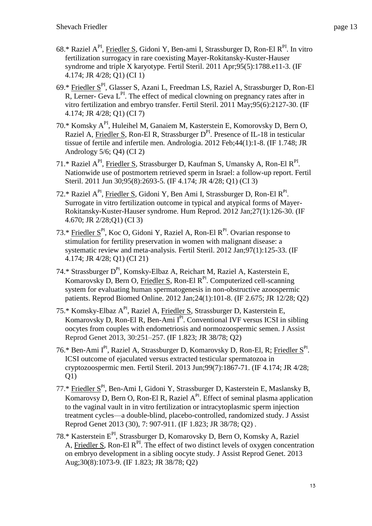- 68.\* Raziel A<sup>PI</sup>, Friedler S, Gidoni Y, Ben-ami I, Strassburger D, Ron-El R<sup>PI</sup>. In vitro [fertilization surrogacy in rare coexisting Mayer-Rokitansky-Kuster-Hauser](http://www.ncbi.nlm.nih.gov/pubmed/21144508) [syndrome and triple X karyotype.](http://www.ncbi.nlm.nih.gov/pubmed/21144508) Fertil Steril. 2011 Apr;95(5):1788.e11-3. (IF 4.174; JR 4/28; Q1) (CI 1)
- 69.\* Friedler S<sup>PI</sup>, Glasser S, Azani L, Freedman LS, Raziel A, Strassburger D, Ron-El  $R$ , Lerner-Geva  $L<sup>PI</sup>$ . The effect of medical clowning on pregnancy rates after in vitro [fertilization and embryo](http://www.ncbi.nlm.nih.gov/pubmed/21211796) transfer. Fertil Steril. 2011 May;95(6):2127-30. (IF 4.174; JR 4/28; Q1) (CI 7)
- 70.\* Komsky API, Huleihel M, Ganaiem M, Kasterstein E, Komorovsky D, Bern O, Raziel A, Friedler S, Ron-El R, Strassburger D<sup>PI</sup>. Presence of IL-18 in testicular [tissue of fertile and infertile men.](http://www.ncbi.nlm.nih.gov/pubmed/21615452) Andrologia. 2012 Feb;44(1):1-8. (IF 1.748; JR Andrology 5/6; Q4) (CI 2)
- 71.\* Raziel A<sup>PI</sup>, Friedler S, Strassburger D, Kaufman S, Umansky A, Ron-El R<sup>PI</sup>. [Nationwide use of postmortem retrieved sperm in Israel: a follow-up](http://www.ncbi.nlm.nih.gov/pubmed/21620393) report. Fertil Steril. 2011 Jun 30;95(8):2693-5. (IF 4.174; JR 4/28; Q1) (CI 3)
- 72.\* Raziel A<sup>PI</sup>, Friedler S, Gidoni Y, Ben Ami I, Strassburger D, Ron-El R<sup>PI</sup>. [Surrogate in vitro fertilization outcome in typical and atypical forms of Mayer-](http://www.ncbi.nlm.nih.gov/pubmed/22052385)[Rokitansky-Kuster-Hauser syndrome.](http://www.ncbi.nlm.nih.gov/pubmed/22052385) Hum Reprod. 2012 Jan;27(1):126-30. (IF 4.670; JR 2/28;Q1) (CI 3)
- 73.\* Friedler  $S<sup>p1</sup>$ , Koc O, Gidoni Y, Raziel A, Ron-El R<sup>PI</sup>. Ovarian response to [stimulation for fertility preservation in women with malignant disease: a](http://www.ncbi.nlm.nih.gov/pubmed/22078784)  [systematic review and meta-analysis.](http://www.ncbi.nlm.nih.gov/pubmed/22078784) Fertil Steril. 2012 Jan;97(1):125-33. (IF 4.174; JR 4/28; Q1) (CI 21)
- 74.\* Strassburger D<sup>PI</sup>, Komsky-Elbaz A, Reichart M, Raziel A, Kasterstein E, Komarovsky D, Bern O, Friedler S, Ron-El R<sup>PI</sup>. Computerized cell-scanning system for evaluating human [spermatogenesis in non-obstructive](http://www.ncbi.nlm.nih.gov/pubmed/22133909) azoospermic [patients.](http://www.ncbi.nlm.nih.gov/pubmed/22133909) Reprod Biomed Online. 2012 Jan;24(1):101-8. (IF 2.675; JR 12/28; Q2)
- 75.\* Komsky-Elbaz API, Raziel A, Friedler S, Strassburger D, Kasterstein E, Komarovsky D, Ron-El R, Ben-Ami  $I^{PI}$ . Conventional IVF versus ICSI in sibling [oocytes from couples with endometriosis and](http://www.ncbi.nlm.nih.gov/pubmed/23271211) normozoospermic semen. J Assist Reprod Genet 2013, 30:251–257. (IF 1.823; JR 38/78; Q2)
- 76.\* Ben-Ami I<sup>PI</sup>, Raziel A, Strassburger D, Komarovsky D, Ron-El, R; Friedler S<sup>PI</sup>. ICSI outcome of ejaculated versus extracted testicular spermatozoa in cryptozoospermic men. Fertil Steril. 2013 Jun;99(7):1867-71. (IF 4.174; JR 4/28;  $Q1$
- 77.\* Friedler SPI, Ben-Ami I, Gidoni Y, Strassburger D, Kasterstein E, Maslansky B, Komarovsy D, Bern O, Ron-El R, Raziel  $A^{PI}$ . Effect of seminal plasma application to the vaginal vault in in vitro fertilization or intracytoplasmic sperm injection treatment cycles—a double-blind, placebo-controlled, randomized study. J Assist Reprod Genet 2013 (30), 7: 907-911. (IF 1.823; JR 38/78; Q2) .
- 78.\* Kasterstein EPI, Strassburger D, Komarovsky D, Bern O, Komsky A, Raziel A, Friedler S, Ron-El  $R<sup>PI</sup>$ . The effect of two distinct levels of oxygen concentration on embryo [development in a sibling oocyte study.](http://www.ncbi.nlm.nih.gov.assafh-ez.medlcp.tau.ac.il/pubmed/23835722) J Assist Reprod Genet. 2013 Aug;30(8):1073-9. (IF 1.823; JR 38/78; Q2)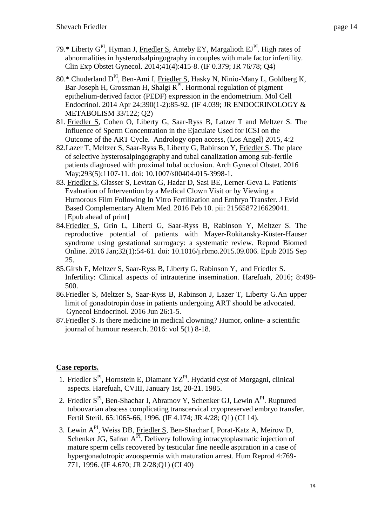- 79.\* Liberty G<sup>PI</sup>, Hyman J, Friedler S, Anteby EY, Margalioth EJ<sup>PI</sup>. High rates of abnormalities in hysterodsalpingography in couples with male factor infertility. Clin Exp Obstet Gynecol. 2014;41(4):415-8. (IF 0.379; JR 76/78; Q4)
- 80.\* Chuderland D<sup>PI</sup>, Ben-Ami I, Friedler S, Hasky N, Ninio-Many L, Goldberg K, Bar-Joseph H, Grossman H, Shalgi R<sup>PI</sup>. Hormonal regulation of pigment epithelium-derived factor (PEDF) expression in the endometrium. Mol Cell Endocrinol. 2014 Apr 24;390(1-2):85-92. (IF 4.039; JR ENDOCRINOLOGY & METABOLISM 33/122; Q2)
- 81. Friedler S, Cohen O, Liberty G, Saar-Ryss B, Latzer T and Meltzer S. The Influence of Sperm Concentration in the Ejaculate Used for ICSI on the Outcome of the ART Cycle. Andrology open access, (Los Angel) 2015, 4:2
- 82.Lazer T, Meltzer S, Saar-Ryss B, Liberty G, Rabinson Y, Friedler S. [The place](http://www.ncbi.nlm.nih.gov.assafh-ez.medlcp.tau.ac.il/pubmed/26732603)  [of selective hysterosalpingography and tubal canalization among sub-fertile](http://www.ncbi.nlm.nih.gov.assafh-ez.medlcp.tau.ac.il/pubmed/26732603)  [patients diagnosed with proximal tubal occlusion.](http://www.ncbi.nlm.nih.gov.assafh-ez.medlcp.tau.ac.il/pubmed/26732603) Arch Gynecol Obstet. 2016 May;293(5):1107-11. doi: 10.1007/s00404-015-3998-1.
- 83. Friedler S, Glasser S, Levitan G, Hadar D, Sasi BE, Lerner-Geva L. [Patients'](http://www.ncbi.nlm.nih.gov.assafh-ez.medlcp.tau.ac.il/pubmed/26869229)  [Evaluation of Intervention by a Medical Clown Visit or by Viewing a](http://www.ncbi.nlm.nih.gov.assafh-ez.medlcp.tau.ac.il/pubmed/26869229)  [Humorous Film Following In Vitro Fertilization and Embryo Transfer.](http://www.ncbi.nlm.nih.gov.assafh-ez.medlcp.tau.ac.il/pubmed/26869229) J Evid Based Complementary Altern Med. 2016 Feb 10. pii: 2156587216629041. [Epub ahead of print]
- 84.Friedler S, Grin L, Liberti G, Saar-Ryss B, Rabinson Y, Meltzer S. [The](http://www.ncbi.nlm.nih.gov.assafh-ez.medlcp.tau.ac.il/pubmed/26626805)  [reproductive potential of patients with Mayer-Rokitansky-Küster-Hauser](http://www.ncbi.nlm.nih.gov.assafh-ez.medlcp.tau.ac.il/pubmed/26626805)  [syndrome using gestational surrogacy: a systematic review.](http://www.ncbi.nlm.nih.gov.assafh-ez.medlcp.tau.ac.il/pubmed/26626805) Reprod Biomed Online. 2016 Jan;32(1):54-61. doi: 10.1016/j.rbmo.2015.09.006. Epub 2015 Sep 25.
- 85.Girsh E, Meltzer S, Saar-Ryss B, Liberty G, Rabinson Y, and Friedler S. Infertility: Clinical aspects of intrauterine insemination. Harefuah, 2016; 8:498- 500.
- 86.Friedler S, Meltzer S, Saar-Ryss B, Rabinson J, Lazer T, Liberty G.An upper limit of gonadotropin dose in patients undergoing ART should be advocated. Gynecol Endocrinol. 2016 Jun 26:1-5.
- 87.Friedler S. Is there medicine in medical clowning? Humor, online- a scientific journal of humour research. 2016: vol 5(1) 8-18.

# **Case reports.**

- 1. Friedler  $S<sup>PI</sup>$ , Hornstein E, Diamant YZ<sup>PI</sup>. Hydatid cyst of Morgagni, clinical aspects. Harefuah, CVIII, January 1st, 20-21. 1985.
- 2. Friedler S<sup>PI</sup>, Ben-Shachar I, Abramov Y, Schenker GJ, Lewin A<sup>PI</sup>. Ruptured tuboovarian abscess complicating transcervical cryopreserved embryo transfer. Fertil Steril. 65:1065-66, 1996. (IF 4.174; JR 4/28; Q1) (CI 14).
- 3. Lewin API, Weiss DB, Friedler S, Ben-Shachar I, Porat-Katz A, Meirow D, Schenker JG, Safran  $A^{PI}$ . Delivery following intracytoplasmatic injection of mature sperm cells recovered by testicular fine needle aspiration in a case of hypergonadotropic azoospermia with maturation arrest. Hum Reprod 4:769- 771, 1996. (IF 4.670; JR 2/28;Q1) (CI 40)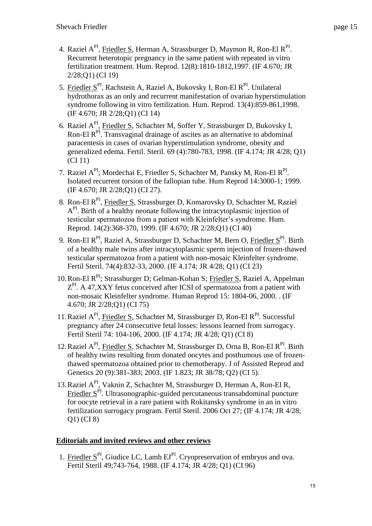- 4. Raziel A<sup>PI</sup>, <u>Friedler S</u>, Herman A, Strassburger D, Maymon R, Ron-El R<sup>PI</sup>. Recurrent heterotopic pregnancy in the same patient with repeated in vitro fertilization treatment. Hum. Reprod. 12(8):1810-1812,1997. (IF 4.670; JR 2/28;Q1) (CI 19)
- 5. Friedler S<sup>PI</sup>, Rachstein A, Raziel A, Bukovsky I, Ron-El R<sup>PI</sup>. Unilateral hydrothorax as an only and recurrent manifestation of ovarian hyperstimulation syndrome following in vitro fertilization. Hum. Reprod. 13(4):859-861,1998. (IF 4.670; JR 2/28;Q1) (CI 14)
- 6. Raziel A<sup>PI</sup>, Friedler S, Schachter M, Soffer Y, Strassburger D, Bukovsky I, Ron-El R<sup>PI</sup>. Transvaginal drainage of ascites as an alternative to abdominal paracentesis in cases of ovarian hyperstimulation syndrome, obesity and generalized edema. Fertil. Steril. 69 (4):780-783, 1998. (IF 4.174; JR 4/28; Q1) (CI 11)
- 7. Raziel A<sup>PI</sup>; Mordechai E, Friedler S, Schachter M, Pansky M, Ron-El R<sup>PI</sup>. Isolated recurrent torsion of the fallopian tube. Hum Reprod 14:3000-1; 1999. (IF 4.670; JR 2/28;Q1) (CI 27).
- 8. Ron-El R<sup>PI</sup>, Friedler S, Strassburger D, Komarovsky D, Schachter M, Raziel A<sup>PI</sup>. Birth of a healthy neonate following the intracytoplasmic injection of testicular spermatozoa from a patient with Kleinfelter's syndrome. Hum. Reprod. 14(2):368-370, 1999. (IF 4.670; JR 2/28;Q1) (CI 40)
- 9. Ron-El R<sup>PI</sup>, Raziel A, Strassburger D, Schachter M, Bern O, <u>Friedler S</u><sup>PI</sup>. Birth of a healthy male twins after intracytoplasmic sperm injection of frozen-thawed testicular spermatozoa from a patient with non-mosaic Kleinfelter syndrome. Fertil Steril. 74(4):832-33, 2000. (IF 4.174; JR 4/28; Q1) (CI 23)
- 10.Ron-El RPI; Strassburger D; Gelman-Kohan S; Friedler S, Raziel A, Appelman  $Z<sup>PI</sup>$ . A 47, XXY fetus conceived after ICSI of spermatozoa from a patient with non-mosaic Kleinfelter syndrome. Human Reprod 15: 1804-06, 2000. . (IF 4.670; JR 2/28;Q1) (CI 75)
- 11. Raziel A<sup>PI</sup>, Friedler S, Schachter M, Strassburger D, Ron-El R<sup>PI</sup>. Successful pregnancy after 24 consecutive fetal losses: lessons learned from surrogacy. Fertil Steril 74: 104-106, 2000. (IF 4.174; JR 4/28; Q1) (CI 8)
- 12. Raziel A<sup>PI</sup>, Friedler S, Schachter M, Strassburger D, Orna B, Ron-El R<sup>PI</sup>. Birth of healthy twins resulting from donated oocytes and posthumous use of frozenthawed spermatozoa obtained prior to chemotherapy. J of Assisted Reprod and Genetics 20 (9):381-383; 2003. (IF 1.823; JR 38/78; Q2) (CI 5).
- 13. Raziel A<sup>PI</sup>, Vaknin Z, Schachter M, Strassburger D, Herman A, Ron-El R, Friedler  $S<sup>PI</sup>$ . Ultrasonographic-guided percutaneous transabdominal puncture for oocyte retrieval in a rare patient with Rokitansky syndrome in an in vitro fertilization surrogacy program. Fertil Steril. 2006 Oct 27; (IF 4.174; JR 4/28; Q1) (CI 8)

# **Editorials and invited reviews and other reviews**

1. Friedler  $S<sup>PI</sup>$ , Giudice LC, Lamb  $EJ<sup>PI</sup>$ . Cryopreservation of embryos and ova. Fertil Steril 49;743-764, 1988. (IF 4.174; JR 4/28; Q1) (CI 96)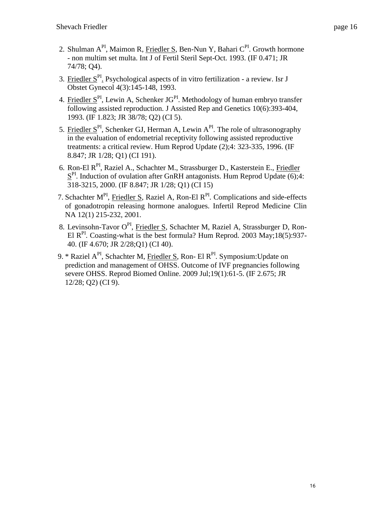- 2. Shulman A<sup>PI</sup>, Maimon R, Friedler S, Ben-Nun Y, Bahari C<sup>PI</sup>. Growth hormone - non multim set multa. Int J of Fertil Steril Sept-Oct. 1993. (IF 0.471; JR 74/78; Q4).
- 3. Friedler  $S<sup>PI</sup>$ . Psychological aspects of in vitro fertilization a review. Isr J Obstet Gynecol 4(3):145-148, 1993.
- 4. Friedler  $S<sup>PI</sup>$ , Lewin A, Schenker JG<sup>PI</sup>. Methodology of human embryo transfer following assisted reproduction. J Assisted Rep and Genetics 10(6):393-404, 1993. (IF 1.823; JR 38/78; Q2) (CI 5).
- 5. Friedler  $S<sup>PI</sup>$ , Schenker GJ, Herman A, Lewin  $A<sup>PI</sup>$ . The role of ultrasonography in the evaluation of endometrial receptivity following assisted reproductive treatments: a critical review. Hum Reprod Update (2);4: 323-335, 1996. (IF 8.847; JR 1/28; Q1) (CI 191).
- 6. Ron-El RPI, Raziel A., Schachter M., Strassburger D., Kasterstein E., Friedler  $S<sup>PI</sup>$ . Induction of ovulation after GnRH antagonists. Hum Reprod Update (6);4: 318-3215, 2000. (IF 8.847; JR 1/28; Q1) (CI 15)
- 7. Schachter M<sup>PI</sup>, Friedler S, Raziel A, Ron-El R<sup>PI</sup>. Complications and side-effects of gonadotropin releasing hormone analogues. Infertil Reprod Medicine Clin NA 12(1) 215-232, 2001.
- 8. Levinsohn-Tavor O<sup>PI</sup>, Friedler S, Schachter M, Raziel A, Strassburger D, Ron-El R<sup>PI</sup>. Coasting-what is the best formula? Hum Reprod. 2003 May;18(5):937-40. (IF 4.670; JR 2/28;Q1) (CI 40).
- 9. \* Raziel A<sup>PI</sup>, Schachter M, Friedler S, Ron- El R<sup>PI</sup>. Symposium: Update on prediction and management of OHSS. [Outcome of IVF pregnancies following](http://www.ncbi.nlm.nih.gov/pubmed/19573292)  [severe OHSS.](http://www.ncbi.nlm.nih.gov/pubmed/19573292) Reprod Biomed Online. 2009 Jul;19(1):61-5. (IF 2.675; JR 12/28; Q2) (CI 9).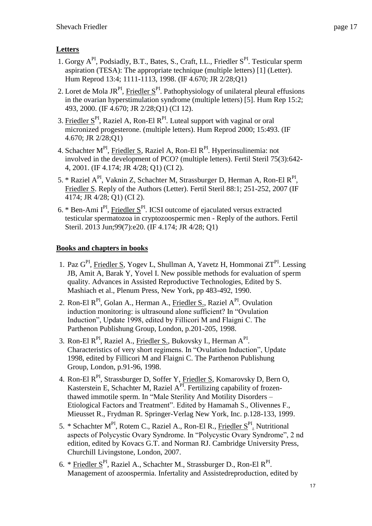# **Letters**

- 1. [Gorgy A](http://www.scopus.com/authid/detail.url?authorId=6701478908&eid=2-s2.0-0031838776)<sup>PI</sup>, [Podsiadly, B.T.,](http://www.scopus.com/authid/detail.url?authorId=6602518760&eid=2-s2.0-0031838776) [Bates, S.,](http://www.scopus.com/authid/detail.url?authorId=7202010462&eid=2-s2.0-0031838776) [Craft, I.L.,](http://www.scopus.com/authid/detail.url?authorId=7102557472&eid=2-s2.0-0031838776) [Friedler S](http://www.scopus.com/authid/detail.url?authorId=7003413385&eid=2-s2.0-0031838776)<sup>PI</sup>. Testicular sperm aspiration (TESA): The appropriate technique (multiple letters) [1] (Letter). Hum Reprod 13:4; 1111-1113, 1998. (IF 4.670; JR 2/28;Q1)
- 2. [Loret de Mola JR](http://www.scopus.com/authid/detail.url?authorId=6603011071&eid=2-s2.0-0032962155)<sup>PI</sup>, Friedler  $S<sup>PI</sup>$ . Pathophysiology of unilateral pleural effusions in the ovarian hyperstimulation syndrome (multiple letters) [5]. Hum Rep 15:2; 493, 2000. (IF 4.670; JR 2/28;Q1) (CI 12).
- 3. Friedler  $S<sup>PI</sup>$ , Raziel A, Ron-El  $R<sup>PI</sup>$ . Luteal support with vaginal or oral micronized progesterone. (multiple letters). Hum Reprod 2000; 15:493. (IF 4.670; JR 2/28;Q1)
- 4. Schachter M<sup>PI</sup>, Friedler S, Raziel A, Ron-El R<sup>PI</sup>. Hyperinsulinemia: not involved in the development of PCO? (multiple letters). Fertil Steril 75(3):642- 4, 2001. (IF 4.174; JR 4/28; Q1) (CI 2).
- 5. \* [Raziel A](http://www.scopus.com/authid/detail.url?authorId=7005896011&eid=2-s2.0-34347236906)<sup>PI</sup>, [Vaknin Z,](http://www.scopus.com/authid/detail.url?authorId=14322827600&eid=2-s2.0-34347236906) [Schachter M,](http://www.scopus.com/authid/detail.url?authorId=7103231411&eid=2-s2.0-34347236906) [Strassburger D,](http://www.scopus.com/authid/detail.url?authorId=36747720500&eid=2-s2.0-34347236906) [Herman](http://www.scopus.com/authid/detail.url?authorId=7202683978&eid=2-s2.0-34347236906) A, [Ron-El R](http://www.scopus.com/authid/detail.url?authorId=7006484548&eid=2-s2.0-34347236906)<sup>PI</sup>, [Friedler S.](http://www.scopus.com/authid/detail.url?authorId=7003413385&eid=2-s2.0-34347236906) Reply of the Authors (Letter). Fertil Steril 88:1; 251-252, 2007 (IF 4174; JR 4/28; Q1) (CI 2).
- 6. \* Ben-Ami  $I<sup>PI</sup>$ , Friedler  $S<sup>PI</sup>$ . ICSI outcome of ejaculated versus extracted testicular spermatozoa in cryptozoospermic men - [Reply of the authors.](http://www.ncbi.nlm.nih.gov.assafh-ez.medlcp.tau.ac.il/pubmed/23622888) Fertil Steril. 2013 Jun;99(7):e20. (IF 4.174; JR 4/28; Q1)

# **Books and chapters in books**

- 1. Paz G<sup>PI</sup>, Friedler S, Yogev L, Shullman A, Yavetz H, Hommonai ZT<sup>PI</sup>. Lessing JB, Amit A, Barak Y, Yovel I. New possible methods for evaluation of sperm quality. Advances in Assisted Reproductive Technologies, Edited by S. Mashiach et al., Plenum Press, New York, pp 483-492, 1990.
- 2. Ron-El R<sup>PI</sup>, Golan A., Herman A., Friedler S., Raziel A<sup>PI</sup>. Ovulation induction monitoring: is ultrasound alone sufficient? In "Ovulation Induction", Update 1998, edited by Fillicori M and Flaigni C. The Parthenon Publishung Group, London, p.201-205, 1998.
- 3. Ron-El R<sup>PI</sup>, Raziel A., <u>Friedler S.</u>, Bukovsky I., Herman A<sup>PI</sup>. Characteristics of very short regimens. In "Ovulation Induction", Update 1998, edited by Fillicori M and Flaigni C. The Parthenon Publishung Group, London, p.91-96, 1998.
- 4. Ron-El R<sup>PI</sup>, Strassburger D, Soffer Y, Friedler S, Komarovsky D, Bern O, Kasterstein E, Schachter M, Raziel  $A<sup>PT</sup>$ . Fertilizing capability of frozenthawed immotile sperm. In "Male Sterility And Motility Disorders – Etiological Factors and Treatment". Edited by Hamamah S., Olivennes F., Mieusset R., Frydman R. Springer-Verlag New York, Inc. p.128-133, 1999.
- 5. \* Schachter M<sup>PI</sup>, Rotem C., Raziel A., Ron-El R., Friedler S<sup>PI</sup>. Nutritional aspects of Polycystic Ovary Syndrome. In "Polycystic Ovary Syndrome", 2 nd edition, edited by Kovacs G.T. and Norman RJ. Cambridge University Press, Churchill Livingstone, London, 2007.
- 6. \* Friedler S<sup>PI</sup>, Raziel A., Schachter M., Strassburger D., Ron-El R<sup>PI</sup>. Management of azoospermia. Infertality and Assistedreproduction, edited by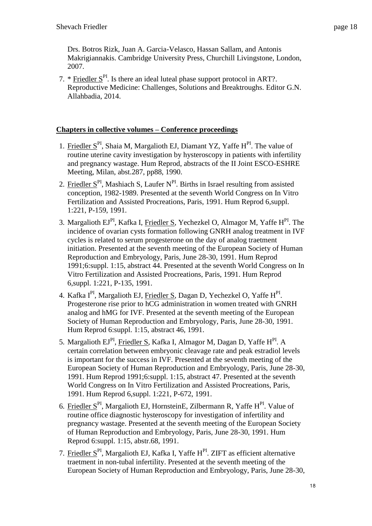Drs. Botros Rizk, Juan A. Garcia-Velasco, Hassan Sallam, and Antonis Makrigiannakis. Cambridge University Press, Churchill Livingstone, London, 2007.

7. \* Friedler  $S<sup>PI</sup>$ . Is there an ideal luteal phase support protocol in ART?. Reproductive Medicine: Challenges, Solutions and Breaktroughs. Editor G.N. Allahbadia, 2014.

# **Chapters in collective volumes – Conference proceedings**

- 1. Friedler  $S<sup>PI</sup>$ , Shaia M, Margalioth EJ, Diamant YZ, Yaffe  $H<sup>PI</sup>$ . The value of routine uterine cavity investigation by hysteroscopy in patients with infertility and pregnancy wastage. Hum Reprod, abstracts of the II Joint ESCO-ESHRE Meeting, Milan, abst.287, pp88, 1990.
- 2. Friedler  $S<sup>PI</sup>$ , Mashiach S, Laufer  $N<sup>PI</sup>$ . Births in Israel resulting from assisted conception, 1982-1989. Presented at the seventh World Congress on In Vitro Fertilization and Assisted Procreations, Paris, 1991. Hum Reprod 6,suppl. 1:221, P-159, 1991.
- 3. Margalioth EJ<sup>PI</sup>, Kafka I, <u>Friedler S</u>, Yechezkel O, Almagor M, Yaffe H<sup>PI</sup>. The incidence of ovarian cysts formation following GNRH analog treatment in IVF cycles is related to serum progesterone on the day of analog traetment initiation. Presented at the seventh meeting of the European Society of Human Reproduction and Embryology, Paris, June 28-30, 1991. Hum Reprod 1991;6:suppl. 1:15, abstract 44. Presented at the seventh World Congress on In Vitro Fertilization and Assisted Procreations, Paris, 1991. Hum Reprod 6,suppl. 1:221, P-135, 1991.
- 4. Kafka I<sup>PI</sup>, Margalioth EJ, <u>Friedler S</u>, Dagan D, Yechezkel O, Yaffe H<sup>PI</sup>. Progesterone rise prior to hCG administration in women treated with GNRH analog and hMG for IVF. Presented at the seventh meeting of the European Society of Human Reproduction and Embryology, Paris, June 28-30, 1991. Hum Reprod 6:suppl. 1:15, abstract 46, 1991.
- 5. Margalioth EJ<sup>PI</sup>, <u>Friedler S</u>, Kafka I, Almagor M, Dagan D, Yaffe H<sup>PI</sup>. A certain correlation between embryonic cleavage rate and peak estradiol levels is important for the success in IVF. Presented at the seventh meeting of the European Society of Human Reproduction and Embryology, Paris, June 28-30, 1991. Hum Reprod 1991;6:suppl. 1:15, abstract 47. Presented at the seventh World Congress on In Vitro Fertilization and Assisted Procreations, Paris, 1991. Hum Reprod 6,suppl. 1:221, P-672, 1991.
- 6. Friedler  $S<sup>PI</sup>$ , Margalioth EJ, HornsteinE, Zilbermann R, Yaffe H<sup>PI</sup>. Value of routine office diagnostic hysteroscopy for investigation of infertility and pregnancy wastage. Presented at the seventh meeting of the European Society of Human Reproduction and Embryology, Paris, June 28-30, 1991. Hum Reprod 6:suppl. 1:15, abstr.68, 1991.
- 7. Friedler  $S<sup>PI</sup>$ , Margalioth EJ, Kafka I, Yaffe H $<sup>PI</sup>$ . ZIFT as efficient alternative</sup> traetment in non-tubal infertility. Presented at the seventh meeting of the European Society of Human Reproduction and Embryology, Paris, June 28-30,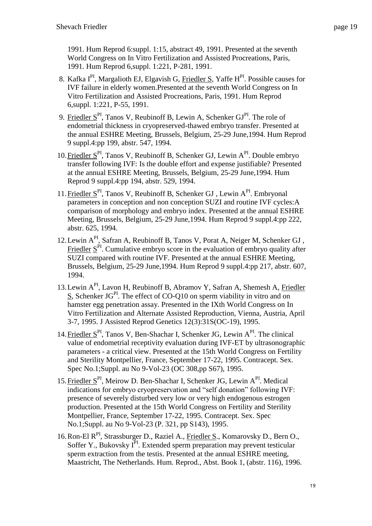1991. Hum Reprod 6:suppl. 1:15, abstract 49, 1991. Presented at the seventh World Congress on In Vitro Fertilization and Assisted Procreations, Paris, 1991. Hum Reprod 6,suppl. 1:221, P-281, 1991.

- 8. Kafka  $I<sup>PI</sup>$ , Margalioth EJ, Elgavish G, Friedler S, Yaffe  $H<sup>PI</sup>$ . Possible causes for IVF failure in elderly women.Presented at the seventh World Congress on In Vitro Fertilization and Assisted Procreations, Paris, 1991. Hum Reprod 6,suppl. 1:221, P-55, 1991.
- 9. Friedler  $S<sup>PI</sup>$ , Tanos V, Reubinoff B, Lewin A, Schenker  $GI<sup>PI</sup>$ . The role of endometrial thickness in cryopreserved-thawed embryo transfer. Presented at the annual ESHRE Meeting, Brussels, Belgium, 25-29 June,1994. Hum Reprod 9 suppl.4:pp 199, abstr. 547, 1994.
- 10. Friedler  $S<sup>P1</sup>$ , Tanos V, Reubinoff B, Schenker GJ, Lewin  $A<sup>P1</sup>$ . Double embryo transfer following IVF: Is the double effort and expense justifiable? Presented at the annual ESHRE Meeting, Brussels, Belgium, 25-29 June,1994. Hum Reprod 9 suppl.4:pp 194, abstr. 529, 1994.
- 11. Friedler S<sup>PI</sup>, Tanos V, Reubinoff B, Schenker GJ, Lewin A<sup>PI</sup>. Embryonal parameters in conception and non conception SUZI and routine IVF cycles:A comparison of morphology and embryo index. Presented at the annual ESHRE Meeting, Brussels, Belgium, 25-29 June,1994. Hum Reprod 9 suppl.4:pp 222, abstr. 625, 1994.
- 12.Lewin API, Safran A, Reubinoff B, Tanos V, Porat A, Neiger M, Schenker GJ , Friedler  $S<sup>PI</sup>$ . Cumulative embryo score in the evaluation of embryo quality after SUZI compared with routine IVF. Presented at the annual ESHRE Meeting, Brussels, Belgium, 25-29 June,1994. Hum Reprod 9 suppl.4:pp 217, abstr. 607, 1994.
- 13.Lewin API, Lavon H, Reubinoff B, Abramov Y, Safran A, Shemesh A, Friedler  $S$ , Schenker JG<sup>PI</sup>. The effect of CO-Q10 on sperm viability in vitro and on hamster egg penetration assay. Presented in the IXth World Congress on In Vitro Fertilization and Alternate Assisted Reproduction, Vienna, Austria, April 3-7, 1995. J Assisted Reprod Genetics 12(3):31S(OC-19), 1995.
- 14. Friedler  $S<sup>P1</sup>$ , Tanos V, Ben-Shachar I, Schenker JG, Lewin  $A<sup>P1</sup>$ . The clinical value of endometrial receptivity evaluation during IVF-ET by ultrasonographic parameters - a critical view. Presented at the 15th World Congress on Fertility and Sterility Montpellier, France, September 17-22, 1995. Contracept. Sex. Spec No.1;Suppl. au No 9-Vol-23 (OC 308,pp S67), 1995.
- 15. Friedler S<sup>PI</sup>, Meirow D. Ben-Shachar I, Schenker JG, Lewin A<sup>PI</sup>. Medical indications for embryo cryopreservation and "self donation" following IVF: presence of severely disturbed very low or very high endogenous estrogen production. Presented at the 15th World Congress on Fertility and Sterility Montpellier, France, September 17-22, 1995. Contracept. Sex. Spec No.1;Suppl. au No 9-Vol-23 (P. 321, pp S143), 1995.
- 16. Ron-El R<sup>PI</sup>, Strassburger D., Raziel A., Friedler S., Komarovsky D., Bern O., Soffer Y., Bukovsky  $I<sup>PI</sup>$ . Extended sperm preparation may prevent testicular sperm extraction from the testis. Presented at the annual ESHRE meeting, Maastricht, The Netherlands. Hum. Reprod., Abst. Book 1, (abstr. 116), 1996.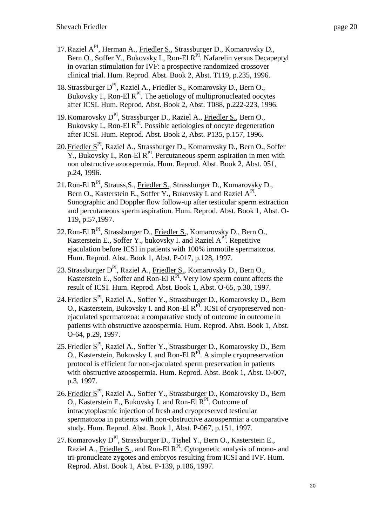- 17.Raziel API, Herman A., Friedler S., Strassburger D., Komarovsky D., Bern O., Soffer Y., Bukovsky I., Ron-El R<sup>PI</sup>. Nafarelin versus Decapeptyl in ovarian stimulation for IVF: a prospective randomized crossover clinical trial. Hum. Reprod. Abst. Book 2, Abst. T119, p.235, 1996.
- 18. Strassburger D<sup>PI</sup>, Raziel A., Friedler S., Komarovsky D., Bern O., Bukovsky I., Ron-El  $R^{PI}$ . The aetiology of multipronucleated oocytes after ICSI. Hum. Reprod. Abst. Book 2, Abst. T088, p.222-223, 1996.
- 19.Komarovsky DPI, Strassburger D., Raziel A., Friedler S., Bern O., Bukovsky I., Ron-El  $R^{PI}$ . Possible aetiologies of oocyte degeneration after ICSI. Hum. Reprod. Abst. Book 2, Abst. P135, p.157, 1996.
- 20.Friedler SPI, Raziel A., Strassburger D., Komarovsky D., Bern O., Soffer  $\overline{Y}$ ., Bukovsky I., Ron-El R<sup>PI</sup>. Percutaneous sperm aspiration in men with non obstructive azoospermia. Hum. Reprod. Abst. Book 2, Abst. 051, p.24, 1996.
- 21. Ron-El R<sup>PI</sup>, Strauss, S., Friedler S., Strassburger D., Komarovsky D., Bern O., Kasterstein E., Soffer Y., Bukovsky I. and Raziel A<sup>PI</sup>. Sonographic and Doppler flow follow-up after testicular sperm extraction and percutaneous sperm aspiration. Hum. Reprod. Abst. Book 1, Abst. O-119, p.57,1997.
- 22. Ron-El  $R<sup>PI</sup>$ , Strassburger D., Friedler S., Komarovsky D., Bern O., Kasterstein E., Soffer Y., bukovsky I. and Raziel  $A^{PI}$ . Repetitive ejaculation before ICSI in patients with 100% immotile spermatozoa. Hum. Reprod. Abst. Book 1, Abst. P-017, p.128, 1997.
- 23. Strassburger D<sup>PI</sup>, Raziel A., Friedler S., Komarovsky D., Bern O., Kasterstein E., Soffer and Ron-El  $R<sup>PI</sup>$ . Very low sperm count affects the result of ICSI. Hum. Reprod. Abst. Book 1, Abst. O-65, p.30, 1997.
- 24. Friedler S<sup>PI</sup>, Raziel A., Soffer Y., Strassburger D., Komarovsky D., Bern  $\overline{O}$ ., Kasterstein, Bukovsky I. and Ron-El R<sup>PI</sup>. ICSI of cryopreserved nonejaculated spermatozoa: a comparative study of outcome in outcome in patients with obstructive azoospermia. Hum. Reprod. Abst. Book 1, Abst. O-64, p.29, 1997.
- 25.Friedler SPI, Raziel A., Soffer Y., Strassburger D., Komarovsky D., Bern  $\overline{O}$ ., Kasterstein, Bukovsky I. and Ron-El R<sup>PI</sup>. A simple cryopreservation protocol is efficient for non-ejaculated sperm preservation in patients with obstructive azoospermia. Hum. Reprod. Abst. Book 1, Abst. O-007, p.3, 1997.
- 26.Friedler SPI, Raziel A., Soffer Y., Strassburger D., Komarovsky D., Bern  $\overline{O}$ ., Kasterstein E., Bukovsky I. and Ron-El  $\overline{R}^{PI}$ . Outcome of intracytoplasmic injection of fresh and cryopreserved testicular spermatozoa in patients with non-obstructive azoospermia: a comparative study. Hum. Reprod. Abst. Book 1, Abst. P-067, p.151, 1997.
- 27. Komarovsky D<sup>PI</sup>, Strassburger D., Tishel Y., Bern O., Kasterstein E., Raziel A., Friedler S., and Ron-El R<sup>PI</sup>. Cytogenetic analysis of mono- and tri-pronucleate zygotes and embryos resulting from ICSI and IVF. Hum. Reprod. Abst. Book 1, Abst. P-139, p.186, 1997.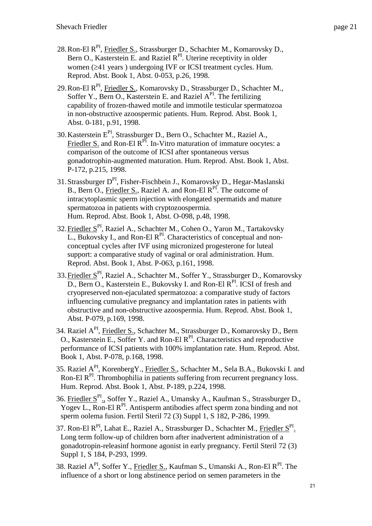- 28. Ron-El R<sup>PI</sup>, Friedler S., Strassburger D., Schachter M., Komarovsky D., Bern O., Kasterstein E. and Raziel R<sup>PI</sup>. Uterine receptivity in older women  $(241 \text{ years})$  undergoing IVF or ICSI treatment cycles. Hum. Reprod. Abst. Book 1, Abst. 0-053, p.26, 1998.
- 29. Ron-El R<sup>PI</sup>, Friedler S., Komarovsky D., Strassburger D., Schachter M., Soffer Y., Bern O., Kasterstein E. and Raziel A<sup>PI</sup>. The fertilizing capability of frozen-thawed motile and immotile testicular spermatozoa in non-obstructive azoospermic patients. Hum. Reprod. Abst. Book 1, Abst. 0-181, p.91, 1998.
- 30.Kasterstein EPI, Strassburger D., Bern O., Schachter M., Raziel A., Friedler S. and Ron-El R<sup>PI</sup>. In-Vitro maturation of immature oocytes: a comparison of the outcome of ICSI after spontaneous versus gonadotrophin-augmented maturation. Hum. Reprod. Abst. Book 1, Abst. P-172, p.215, 1998.
- 31. Strassburger D<sup>PI</sup>, Fisher-Fischbein J., Komarovsky D., Hegar-Maslanski B., Bern O., Friedler S., Raziel A. and Ron-El R<sup>PI</sup>. The outcome of intracytoplasmic sperm injection with elongated spermatids and mature spermatozoa in patients with cryptozoospermia. Hum. Reprod. Abst. Book 1, Abst. O-098, p.48, 1998.
- 32.Friedler SPI, Raziel A., Schachter M., Cohen O., Yaron M., Tartakovsky  $\overline{L}$ , Bukovsky I., and Ron-El R<sup>PI</sup>. Characteristics of conceptual and nonconceptual cycles after IVF using micronized progesterone for luteal support: a comparative study of vaginal or oral administration. Hum. Reprod. Abst. Book 1, Abst. P-063, p.161, 1998.
- 33. Friedler S<sup>PI</sup>, Raziel A., Schachter M., Soffer Y., Strassburger D., Komarovsky D., Bern O., Kasterstein E., Bukovsky I. and Ron-El R<sup>PI</sup>. ICSI of fresh and cryopreserved non-ejaculated spermatozoa: a comparative study of factors influencing cumulative pregnancy and implantation rates in patients with obstructive and non-obstructive azoospermia. Hum. Reprod. Abst. Book 1, Abst. P-079, p.169, 1998.
- 34. Raziel A<sup>PI</sup>, Friedler S., Schachter M., Strassburger D., Komarovsky D., Bern O., Kasterstein E., Soffer Y. and Ron-El  $R^{PI}$ . Characteristics and reproductive performance of ICSI patients with 100% implantation rate. Hum. Reprod. Abst. Book 1, Abst. P-078, p.168, 1998.
- 35. Raziel API, KorenbergY., Friedler S., Schachter M., Sela B.A., Bukovski I. and Ron-El R<sup>PI</sup>. Thrombophilia in patients suffering from recurrent pregnancy loss. Hum. Reprod. Abst. Book 1, Abst. P-189, p.224, 1998.
- 36. Friedler S<sup>PI</sup>., Soffer Y., Raziel A., Umansky A., Kaufman S., Strassburger D., Yogev L., Ron-El  $R<sup>PI</sup>$ . Antisperm antibodies affect sperm zona binding and not sperm oolema fusion. Fertil Steril 72 (3) Suppl 1, S 182, P-286, 1999.
- 37. Ron-El R<sup>PI</sup>, Lahat E., Raziel A., Strassburger D., Schachter M., Friedler S<sup>PI</sup>. Long term follow-up of children born after inadvertent administration of a gonadotropin-releasinf hormone agonist in early pregnancy. Fertil Steril 72 (3) Suppl 1, S 184, P-293, 1999.
- 38. Raziel A<sup>PI</sup>, Soffer Y., Friedler S., Kaufman S., Umanski A., Ron-El R<sup>PI</sup>. The influence of a short or long abstinence period on semen parameters in the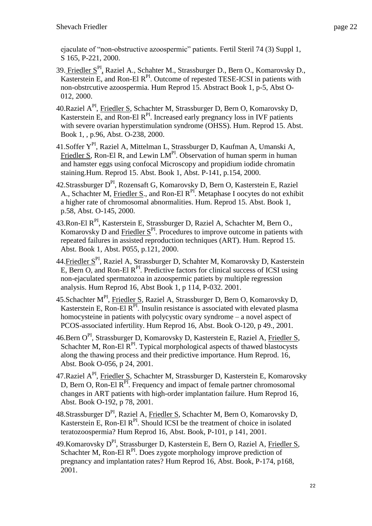ejaculate of "non-obstructive azoospermic" patients. Fertil Steril 74 (3) Suppl 1, S 165, P-221, 2000.

- 39. Friedler S<sup>PI</sup>, Raziel A., Schahter M., Strassburger D., Bern O., Komarovsky D., Kasterstein E, and Ron-El R<sup>PI</sup>. Outcome of repested TESE-ICSI in patients with non-obstrcutive azoospermia. Hum Reprod 15. Abstract Book 1, p-5, Abst O-012, 2000.
- 40.Raziel A<sup>PI</sup>, Friedler S, Schachter M, Strassburger D, Bern O, Komarovsky D, Kasterstein E, and Ron-El  $R<sup>PI</sup>$ . Increased early pregnancy loss in IVF patients with severe ovarian hyperstimulation syndrome (OHSS). Hum. Reprod 15. Abst. Book 1, , p.96, Abst. O-238, 2000.
- 41.Soffer YPI, Raziel A, Mittelman L, Strassburger D, Kaufman A, Umanski A, Friedler S, Ron-El R, and Lewin  $LM<sup>PI</sup>$ . Observation of human sperm in human and hamster eggs using confocal Microscopy and propidium iodide chromatin staining.Hum. Reprod 15. Abst. Book 1, Abst. P-141, p.154, 2000.
- 42. Strassburger D<sup>PI</sup>, Rozensaft G, Komarovsky D, Bern O, Kasterstein E, Raziel A., Schachter M, Friedler S., and Ron-El R<sup>PI</sup>. Metaphase I oocytes do not exhibit a higher rate of chromosomal abnormalities. Hum. Reprod 15. Abst. Book 1, p.58, Abst. O-145, 2000.
- 43. Ron-El R<sup>PI</sup>, Kasterstein E, Strassburger D, Raziel A, Schachter M, Bern O., Komarovsky D and Friedler  $S<sup>P1</sup>$ . Procedures to improve outcome in patients with repeated failures in assisted reproduction techniques (ART). Hum. Reprod 15. Abst. Book 1, Abst. P055, p.121, 2000.
- 44. Friedler S<sup>PI</sup>, Raziel A, Strassburger D, Schahter M, Komarovsky D, Kasterstein  $\overline{E}$ , Bern O, and Ron-El R<sup>PI</sup>. Predictive factors for clinical success of ICSI using non-ejaculated spermatozoa in azoospermic patiets by multiple regression analysis. Hum Reprod 16, Abst Book 1, p 114, P-032. 2001.
- 45.Schachter M<sup>PI</sup>, Friedler S, Raziel A, Strassburger D, Bern O, Komarovsky D, Kasterstein E, Ron-El  $R<sup>PI</sup>$ . Insulin resistance is associated with elevated plasma homocysteine in patients with polycystic ovary syndrome – a novel aspect of PCOS-associated infertility. Hum Reprod 16, Abst. Book O-120, p 49., 2001.
- 46.Bern OPI, Strassburger D, Komarovsky D, Kasterstein E, Raziel A, Friedler S, Schachter M, Ron-El  $\mathbb{R}^{\text{PI}}$ . Typical morphological aspects of thawed blastocysts along the thawing process and their predictive importance. Hum Reprod. 16, Abst. Book O-056, p 24, 2001.
- 47.Raziel A<sup>PI</sup>, Friedler S, Schachter M, Strassburger D, Kasterstein E, Komarovsky D, Bern O, Ron-El R<sup>PI</sup>. Frequency and impact of female partner chromosomal changes in ART patients with high-order implantation failure. Hum Reprod 16, Abst. Book O-192, p 78, 2001.
- 48.Strassburger DPI, Raziel A, Friedler S, Schachter M, Bern O, Komarovsky D, Kasterstein E, Ron-El  $R<sup>PI</sup>$ . Should ICSI be the treatment of choice in isolated teratozoospermia? Hum Reprod 16, Abst. Book, P-101, p 141, 2001.
- 49. Komarovsky  $D^{PI}$ , Strassburger D, Kasterstein E, Bern O, Raziel A, Friedler S, Schachter M, Ron-El  $R<sup>PI</sup>$ . Does zygote morphology improve prediction of pregnancy and implantation rates? Hum Reprod 16, Abst. Book, P-174, p168, 2001.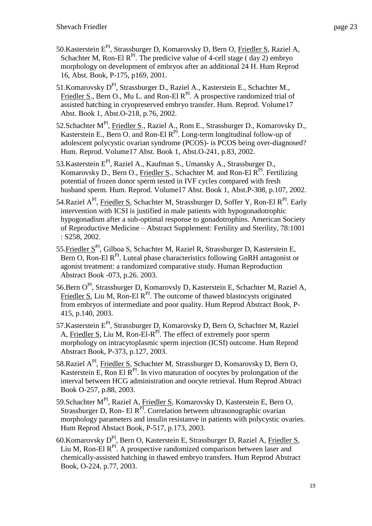- 50.Kasterstein EPI, Strassburger D, Komarovsky D, Bern O, Friedler S, Raziel A, Schachter M, Ron-El  $R^{PI}$ . The predicive value of 4-cell stage (day 2) embryo morphology on development of embryos after an additional 24 H. Hum Reprod 16, Abst. Book, P-175, p169, 2001.
- 51. Komarovsky D<sup>PI</sup>, Strassburger D., Raziel A., Kasterstein E., Schachter M., Friedler S., Bern O., Mu L. and Ron-El  $R^{PI}$ . A prospective randomized trial of assisted hatching in cryopreserved embryo transfer. Hum. Reprod. Volume17 Abst. Book 1, Abst.O-218, p.76, 2002.
- 52.Schachter M<sup>PI</sup>, Friedler S., Raziel A., Rom E., Strassburger D., Komarovsky D., Kasterstein E., Bern O. and Ron-El  $R^{PI}$ . Long-term longitudinal follow-up of adolescent polycystic ovarian syndrome (PCOS)- is PCOS being over-diagnosed? Hum. Reprod. Volume17 Abst. Book 1, Abst.O-241, p.83, 2002.
- 53. Kasterstein E<sup>PI</sup>, Raziel A., Kaufman S., Umansky A., Strassburger D., Komarovsky D., Bern O., Friedler S., Schachter M. and Ron-El  $R^{PI}$ . Fertilizing potential of frozen donor sperm tested in IVF cycles compared with fresh husband sperm. Hum. Reprod. Volume17 Abst. Book 1, Abst.P-308, p.107, 2002.
- 54.Raziel A<sup>PI</sup>, Friedler S, Schachter M, Strassburger D, Soffer Y, Ron-El R<sup>PI</sup>. Early intervention with ICSI is justified in male patients with hypogonadotrophic hypogonadism after a sub-optimal response to gonadotrophins. American Society of Reproductive Medicine – Abstract Supplement: Fertility and Sterility, 78:1001 : S258, 2002.
- 55.Friedler SPI, Gilboa S, Schachter M, Raziel R, Strassburger D, Kasterstein E,  $\overline{\text{Bern 0}}$ , Ron-El R<sup>PI</sup>. Luteal phase characteristics following GnRH antagonist or agonist treatment: a randomized comparative study. Human Reproduction Abstract Book -073, p.26. 2003.
- 56.Bern OPI, Strassburger D, Komarovsly D, Kasterstein E, Schachter M, Raziel A, Friedler S, Liu M, Ron-El  $R<sup>PI</sup>$ . The outcome of thawed blastocysts originated from embryos of intermediate and poor quality. Hum Reprod Abstract Book, P-415, p.140, 2003.
- 57. Kasterstein E<sup>PI</sup>, Strassburger D, Komarovsky D, Bern O, Schachter M, Raziel A, Friedler S, Liu M, Ron-El-R<sup>PI</sup>. The effect of extremely poor sperm morphology on intracytoplasmic sperm injection (ICSI) outcome. Hum Reprod Abstract Book, P-373, p.127, 2003.
- 58.Raziel A<sup>PI</sup>, Friedler S, Schachter M, Strassburger D, Komarovsky D, Bern O, Kasterstein E, Ron El  $R^{PI}$ . In vivo maturation of oocytes by prolongation of the interval between HCG administration and oocyte retrieval. Hum Reprod Abtract Book O-257, p.88, 2003.
- 59. Schachter M<sup>PI</sup>, Raziel A, Friedler S, Komarovsky D, Kasterstein E, Bern O, Strassburger D, Ron- El  $R^{PI}$ . Correlation between ultrasonographic ovarian morphology parameters and insulin resistanve in patients with polycystic ovaries. Hum Reprod Abstact Book, P-517, p.173, 2003.
- 60.Komarovsky DPI, Bern O, Kasterstein E, Strassburger D, Raziel A, Friedler S, Liu M, Ron-El  $R<sup>PI</sup>$ . A prospective randomized comparison between laser and chemically-assisted hatching in thawed embryo transfers. Hum Reprod Abstract Book, O-224, p.77, 2003.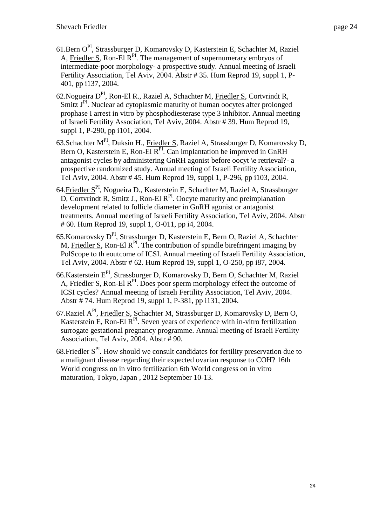- 61.Bern OPI, Strassburger D, Komarovsky D, Kasterstein E, Schachter M, Raziel A, Friedler S, Ron-El  $R^{PI}$ . The management of supernumerary embryos of intermediate-poor morphology- a prospective study. Annual meeting of Israeli Fertility Association, Tel Aviv, 2004. Abstr # 35. Hum Reprod 19, suppl 1, P-401, pp i137, 2004.
- 62.Nogueira DPI, Ron-El R., Raziel A, Schachter M, Friedler S, Cortvrindt R, Smitz J<sup>PI</sup>. Nuclear ad cytoplasmic maturity of human oocytes after prolonged prophase I arrest in vitro by phosphodiesterase type 3 inhibitor. Annual meeting of Israeli Fertility Association, Tel Aviv, 2004. Abstr # 39. Hum Reprod 19, suppl 1, P-290, pp i101, 2004.
- 63.Schachter MPI, Duksin H., Friedler S, Raziel A, Strassburger D, Komarovsky D, Bern O, Kasterstein E, Ron-El  $R<sup>PI</sup>$ . Can implantation be improved in GnRH antagonist cycles by administering GnRH agonist before oocyt \e retrieval?- a prospective randomized study. Annual meeting of Israeli Fertility Association, Tel Aviv, 2004. Abstr # 45. Hum Reprod 19, suppl 1, P-296, pp i103, 2004.
- 64. Friedler S<sup>PI</sup>, Nogueira D., Kasterstein E, Schachter M, Raziel A, Strassburger  $D$ , Cortvrindt R, Smitz J., Ron-El  $R<sup>PI</sup>$ . Oocyte maturity and preimplanation development related to follicle diameter in GnRH agonist or antagonist treatments. Annual meeting of Israeli Fertility Association, Tel Aviv, 2004. Abstr # 60. Hum Reprod 19, suppl 1, O-011, pp i4, 2004.
- 65.Komarovsky DPI, Strassburger D, Kasterstein E, Bern O, Raziel A, Schachter M, Friedler S, Ron-El R<sup>PI</sup>. The contribution of spindle birefringent imaging by PolScope to th eoutcome of ICSI. Annual meeting of Israeli Fertility Association, Tel Aviv, 2004. Abstr # 62. Hum Reprod 19, suppl 1, O-250, pp i87, 2004.
- 66.Kasterstein EPI, Strassburger D, Komarovsky D, Bern O, Schachter M, Raziel A, Friedler S, Ron-El  $R<sup>P1</sup>$ . Does poor sperm morphology effect the outcome of ICSI cycles? Annual meeting of Israeli Fertility Association, Tel Aviv, 2004. Abstr # 74. Hum Reprod 19, suppl 1, P-381, pp i131, 2004.
- 67. Raziel A<sup>PI</sup>, Friedler S, Schachter M, Strassburger D, Komarovsky D, Bern O, Kasterstein E, Ron-El  $R^{PI}$ . Seven years of experience with in-vitro fertilization surrogate gestational pregnancy programme. Annual meeting of Israeli Fertility Association, Tel Aviv, 2004. Abstr # 90.
- 68. Friedler  $S<sup>PI</sup>$ . How should we consult candidates for fertility preservation due to a malignant disease regarding their expected ovarian response to COH? 16th World congress on in vitro fertilization 6th World congress on in vitro maturation, Tokyo, Japan , 2012 September 10-13.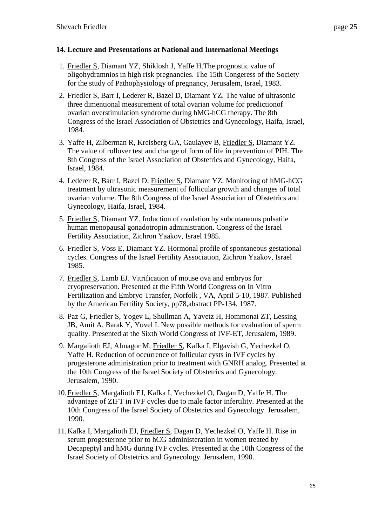# **14. Lecture and Presentations at National and International Meetings**

- 1. Friedler S, Diamant YZ, Shiklosh J, Yaffe H.The prognostic value of oligohydramnios in high risk pregnancies. The 15th Congeress of the Society for the study of Pathophysiology of pregnancy, Jerusalem, Israel, 1983.
- 2. Friedler S, Barr I, Lederer R, Bazel D, Diamant YZ. The value of ultrasonic three dimentional measurement of total ovarian volume for predictionof ovarian overstimulation syndrome during hMG-hCG therapy. The 8th Congress of the Israel Association of Obstetrics and Gynecology, Haifa, Israel, 1984.
- 3. Yaffe H, Zilberman R, Kreisberg GA, Gaulayev B, Friedler S, Diamant YZ. The value of rollover test and change of form of life in prevention of PIH. The 8th Congress of the Israel Association of Obstetrics and Gynecology, Haifa, Israel, 1984.
- 4. Lederer R, Barr I, Bazel D, Friedler S, Diamant YZ. Monitoring of hMG-hCG treatment by ultrasonic measurement of follicular growth and changes of total ovarian volume. The 8th Congress of the Israel Association of Obstetrics and Gynecology, Haifa, Israel, 1984.
- 5. Friedler S, Diamant YZ. Induction of ovulation by subcutaneous pulsatile human menopausal gonadotropin administration. Congress of the Israel Fertility Association, Zichron Yaakov, Israel 1985.
- 6. Friedler S, Voss E, Diamant YZ. Hormonal profile of spontaneous gestational cycles. Congress of the Israel Fertility Association, Zichron Yaakov, Israel 1985.
- 7. Friedler S, Lamb EJ. Vitrification of mouse ova and embryos for cryopreservation. Presented at the Fifth World Congress on In Vitro Fertilization and Embryo Transfer, Norfolk , VA, April 5-10, 1987. Published by the American Fertility Society, pp78,abstract PP-134, 1987.
- 8. Paz G, Friedler S, Yogev L, Shullman A, Yavetz H, Hommonai ZT, Lessing JB, Amit A, Barak Y, Yovel I. New possible methods for evaluation of sperm quality. Presented at the Sixth World Congress of IVF-ET, Jerusalem, 1989.
- 9. Margalioth EJ, Almagor M, Friedler S, Kafka I, Elgavish G, Yechezkel O, Yaffe H. Reduction of occurrence of follicular cysts in IVF cycles by progesterone administration prior to treatment with GNRH analog. Presented at the 10th Congress of the Israel Society of Obstetrics and Gynecology. Jerusalem, 1990.
- 10.Friedler S, Margalioth EJ, Kafka I, Yechezkel O, Dagan D, Yaffe H. The advantage of ZIFT in IVF cycles due to male factor infertility. Presented at the 10th Congress of the Israel Society of Obstetrics and Gynecology. Jerusalem, 1990.
- 11.Kafka I, Margalioth EJ, Friedler S, Dagan D, Yechezkel O, Yaffe H. Rise in serum progesterone prior to hCG administeration in women treated by Decapeptyl and hMG during IVF cycles. Presented at the 10th Congress of the Israel Society of Obstetrics and Gynecology. Jerusalem, 1990.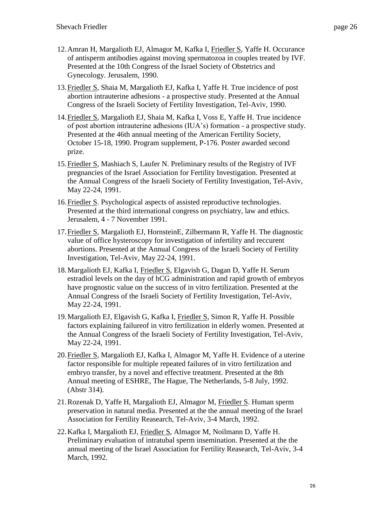- 12.Amran H, Margalioth EJ, Almagor M, Kafka I, Friedler S, Yaffe H. Occurance of antisperm antibodies against moving spermatozoa in couples treated by IVF. Presented at the 10th Congress of the Israel Society of Obstetrics and Gynecology. Jerusalem, 1990.
- 13.Friedler S, Shaia M, Margalioth EJ, Kafka I, Yaffe H. True incidence of post abortion intrauterine adhesions - a prospective study. Presented at the Annual Congress of the Israeli Society of Fertility Investigation, Tel-Aviv, 1990.
- 14.Friedler S, Margalioth EJ, Shaia M, Kafka I, Voss E, Yaffe H. True incidence of post abortion intrauterine adhesions (IUA's) formation - a prospective study. Presented at the 46th annual meeting of the American Fertility Society, October 15-18, 1990. Program supplement, P-176. Poster awarded second prize.
- 15.Friedler S, Mashiach S, Laufer N. Preliminary results of the Registry of IVF pregnancies of the Israel Association for Fertility Investigation. Presented at the Annual Congress of the Israeli Society of Fertility Investigation, Tel-Aviv, May 22-24, 1991.
- 16.Friedler S. Psychological aspects of assisted reproductive technologies. Presented at the third international congress on psychiatry, law and ethics. Jerusalem, 4 - 7 November 1991.
- 17.Friedler S, Margalioth EJ, HornsteinE, Zilbermann R, Yaffe H. The diagnostic value of office hysteroscopy for investigation of infertility and reccurent abortions. Presented at the Annual Congress of the Israeli Society of Fertility Investigation, Tel-Aviv, May 22-24, 1991.
- 18.Margalioth EJ, Kafka I, Friedler S, Elgavish G, Dagan D, Yaffe H. Serum estradiol levels on the day of hCG administration and rapid growth of embryos have prognostic value on the success of in vitro fertilization. Presented at the Annual Congress of the Israeli Society of Fertility Investigation, Tel-Aviv, May 22-24, 1991.
- 19.Margalioth EJ, Elgavish G, Kafka I, Friedler S, Simon R, Yaffe H. Possible factors explaining failureof in vitro fertilization in elderly women. Presented at the Annual Congress of the Israeli Society of Fertility Investigation, Tel-Aviv, May 22-24, 1991.
- 20.Friedler S, Margalioth EJ, Kafka I, Almagor M, Yaffe H. Evidence of a uterine factor responsible for multiple repeated failures of in vitro fertilization and embryo transfer, by a novel and effective treatment. Presented at the 8th Annual meeting of ESHRE, The Hague, The Netherlands, 5-8 July, 1992. (Abstr 314).
- 21.Rozenak D, Yaffe H, Margalioth EJ, Almagor M, Friedler S. Human sperm preservation in natural media. Presented at the the annual meeting of the Israel Association for Fertility Reasearch, Tel-Aviv, 3-4 March, 1992.
- 22.Kafka I, Margalioth EJ, Friedler S, Almagor M, Noilmann D, Yaffe H. Preliminary evaluation of intratubal sperm insemination. Presented at the the annual meeting of the Israel Association for Fertility Reasearch, Tel-Aviv, 3-4 March, 1992.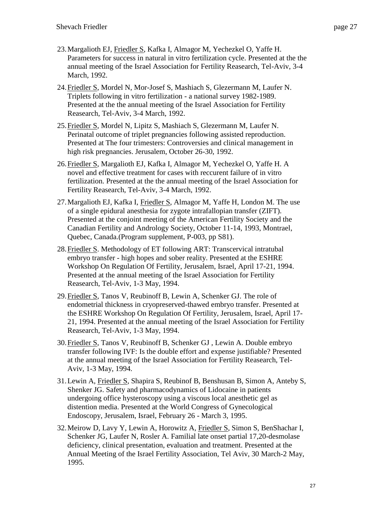- 23.Margalioth EJ, Friedler S, Kafka I, Almagor M, Yechezkel O, Yaffe H. Parameters for success in natural in vitro fertilization cycle. Presented at the the annual meeting of the Israel Association for Fertility Reasearch, Tel-Aviv, 3-4 March, 1992.
- 24.Friedler S, Mordel N, Mor-Josef S, Mashiach S, Glezermann M, Laufer N. Triplets following in vitro fertilization - a national survey 1982-1989. Presented at the the annual meeting of the Israel Association for Fertility Reasearch, Tel-Aviv, 3-4 March, 1992.
- 25.Friedler S, Mordel N, Lipitz S, Mashiach S, Glezermann M, Laufer N. Perinatal outcome of triplet pregnancies following assisted reproduction. Presented at The four trimesters: Controversies and clinical management in high risk pregnancies. Jerusalem, October 26-30, 1992.
- 26.Friedler S, Margalioth EJ, Kafka I, Almagor M, Yechezkel O, Yaffe H. A novel and effective treatment for cases with reccurent failure of in vitro fertilization. Presented at the the annual meeting of the Israel Association for Fertility Reasearch, Tel-Aviv, 3-4 March, 1992.
- 27.Margalioth EJ, Kafka I, Friedler S, Almagor M, Yaffe H, London M. The use of a single epidural anesthesia for zygote intrafallopian transfer (ZIFT). Presented at the conjoint meeting of the American Fertility Society and the Canadian Fertility and Andrology Society, October 11-14, 1993, Montrael, Quebec, Canada.(Program supplement, P-003, pp S81).
- 28.Friedler S. Methodology of ET following ART: Transcervical intratubal embryo transfer - high hopes and sober reality. Presented at the ESHRE Workshop On Regulation Of Fertility, Jerusalem, Israel, April 17-21, 1994. Presented at the annual meeting of the Israel Association for Fertility Reasearch, Tel-Aviv, 1-3 May, 1994.
- 29.Friedler S, Tanos V, Reubinoff B, Lewin A, Schenker GJ. The role of endometrial thickness in cryopreserved-thawed embryo transfer. Presented at the ESHRE Workshop On Regulation Of Fertility, Jerusalem, Israel, April 17- 21, 1994. Presented at the annual meeting of the Israel Association for Fertility Reasearch, Tel-Aviv, 1-3 May, 1994.
- 30.Friedler S, Tanos V, Reubinoff B, Schenker GJ , Lewin A. Double embryo transfer following IVF: Is the double effort and expense justifiable? Presented at the annual meeting of the Israel Association for Fertility Reasearch, Tel-Aviv, 1-3 May, 1994.
- 31.Lewin A, Friedler S, Shapira S, Reubinof B, Benshusan B, Simon A, Anteby S, Shenker JG. Safety and pharmacodynamics of Lidocaine in patients undergoing office hysteroscopy using a viscous local anesthetic gel as distention media. Presented at the World Congress of Gynecological Endoscopy, Jerusalem, Israel, February 26 - March 3, 1995.
- 32.Meirow D, Lavy Y, Lewin A, Horowitz A, Friedler S, Simon S, BenShachar I, Schenker JG, Laufer N, Rosler A. Familial late onset partial 17,20-desmolase deficiency, clinical presentation, evaluation and treatment. Presented at the Annual Meeting of the Israel Fertility Association, Tel Aviv, 30 March-2 May, 1995.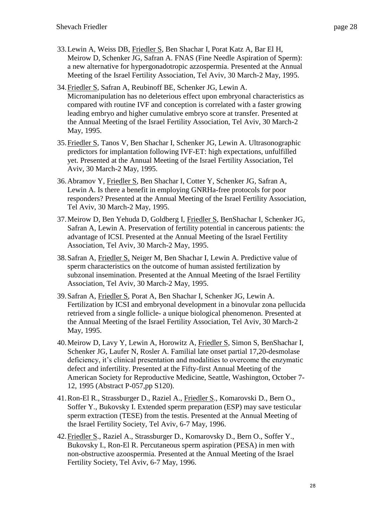- 33.Lewin A, Weiss DB, Friedler S, Ben Shachar I, Porat Katz A, Bar El H, Meirow D, Schenker JG, Safran A. FNAS (Fine Needle Aspiration of Sperm): a new alternative for hypergonadotropic azzospermia. Presented at the Annual Meeting of the Israel Fertility Association, Tel Aviv, 30 March-2 May, 1995.
- 34.Friedler S, Safran A, Reubinoff BE, Schenker JG, Lewin A. Micromanipulation has no deleterious effect upon embryonal characteristics as compared with routine IVF and conception is correlated with a faster growing leading embryo and higher cumulative embryo score at transfer. Presented at the Annual Meeting of the Israel Fertility Association, Tel Aviv, 30 March-2 May, 1995.
- 35.Friedler S, Tanos V, Ben Shachar I, Schenker JG, Lewin A. Ultrasonographic predictors for implantation following IVF-ET: high expectations, unfulfilled yet. Presented at the Annual Meeting of the Israel Fertility Association, Tel Aviv, 30 March-2 May, 1995.
- 36.Abramov Y, Friedler S, Ben Shachar I, Cotter Y, Schenker JG, Safran A, Lewin A. Is there a benefit in employing GNRHa-free protocols for poor responders? Presented at the Annual Meeting of the Israel Fertility Association, Tel Aviv, 30 March-2 May, 1995.
- 37.Meirow D, Ben Yehuda D, Goldberg I, Friedler S, BenShachar I, Schenker JG, Safran A, Lewin A. Preservation of fertility potential in cancerous patients: the advantage of ICSI. Presented at the Annual Meeting of the Israel Fertility Association, Tel Aviv, 30 March-2 May, 1995.
- 38.Safran A, Friedler S, Neiger M, Ben Shachar I, Lewin A. Predictive value of sperm characteristics on the outcome of human assisted fertilization by subzonal insemination. Presented at the Annual Meeting of the Israel Fertility Association, Tel Aviv, 30 March-2 May, 1995.
- 39.Safran A, Friedler S, Porat A, Ben Shachar I, Schenker JG, Lewin A. Fertilization by ICSI and embryonal development in a binovular zona pellucida retrieved from a single follicle- a unique biological phenomenon. Presented at the Annual Meeting of the Israel Fertility Association, Tel Aviv, 30 March-2 May, 1995.
- 40.Meirow D, Lavy Y, Lewin A, Horowitz A, Friedler S, Simon S, BenShachar I, Schenker JG, Laufer N, Rosler A. Familial late onset partial 17,20-desmolase deficiency, it's clinical presentation and modalities to overcome the enzymatic defect and infertility. Presented at the Fifty-first Annual Meeting of the American Society for Reproductive Medicine, Seattle, Washington, October 7- 12, 1995 (Abstract P-057,pp S120).
- 41.Ron-El R., Strassburger D., Raziel A., Friedler S., Komarovski D., Bern O., Soffer Y., Bukovsky I. Extended sperm preparation (ESP) may save testicular sperm extraction (TESE) from the testis. Presented at the Annual Meeting of the Israel Fertility Society, Tel Aviv, 6-7 May, 1996.
- 42.Friedler S., Raziel A., Strassburger D., Komarovsky D., Bern O., Soffer Y., Bukovsky I., Ron-El R. Percutaneous sperm aspiration (PESA) in men with non-obstructive azoospermia. Presented at the Annual Meeting of the Israel Fertility Society, Tel Aviv, 6-7 May, 1996.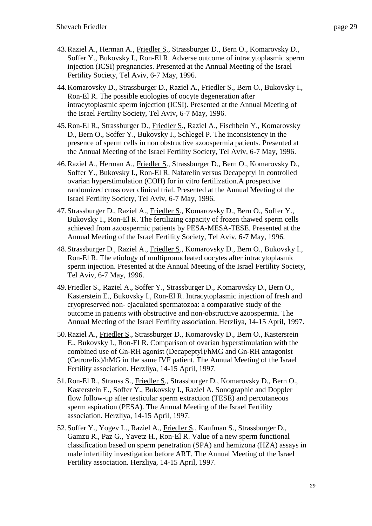- 43.Raziel A., Herman A., Friedler S., Strassburger D., Bern O., Komarovsky D., Soffer Y., Bukovsky I., Ron-El R. Adverse outcome of intracytoplasmic sperm injection (ICSI) pregnancies. Presented at the Annual Meeting of the Israel Fertility Society, Tel Aviv, 6-7 May, 1996.
- 44.Komarovsky D., Strassburger D., Raziel A., Friedler S., Bern O., Bukovsky I., Ron-El R. The possible etiologies of oocyte degeneration after intracytoplasmic sperm injection (ICSI). Presented at the Annual Meeting of the Israel Fertility Society, Tel Aviv, 6-7 May, 1996.
- 45.Ron-El R., Strassburger D., Friedler S., Raziel A., Fischbein Y., Komarovsky D., Bern O., Soffer Y., Bukovsky I., Schlegel P. The inconsistency in the presence of sperm cells in non obstructive azoospermia patients. Presented at the Annual Meeting of the Israel Fertility Society, Tel Aviv, 6-7 May, 1996.
- 46. Raziel A., Herman A., Friedler S., Strassburger D., Bern O., Komarovsky D., Soffer Y., Bukovsky I., Ron-El R. Nafarelin versus Decapeptyl in controlled ovarian hyperstimulation (COH) for in vitro fertilization.A prospective randomized cross over clinical trial. Presented at the Annual Meeting of the Israel Fertility Society, Tel Aviv, 6-7 May, 1996.
- 47.Strassburger D., Raziel A., Friedler S., Komarovsky D., Bern O., Soffer Y., Bukovsky I., Ron-El R. The fertilizing capacity of frozen thawed sperm cells achieved from azoospermic patients by PESA-MESA-TESE. Presented at the Annual Meeting of the Israel Fertility Society, Tel Aviv, 6-7 May, 1996.
- 48.Strassburger D., Raziel A., Friedler S., Komarovsky D., Bern O., Bukovsky I., Ron-El R. The etiology of multipronucleated oocytes after intracytoplasmic sperm injection. Presented at the Annual Meeting of the Israel Fertility Society, Tel Aviv, 6-7 May, 1996.
- 49.Friedler S., Raziel A., Soffer Y., Strassburger D., Komarovsky D., Bern O., Kasterstein E., Bukovsky I., Ron-El R. Intracytoplasmic injection of fresh and cryopreserved non- ejaculated spermatozoa: a comparative study of the outcome in patients with obstructive and non-obstructive azoospermia. The Annual Meeting of the Israel Fertility association. Herzliya, 14-15 April, 1997.
- 50.Raziel A., Friedler S., Strassburger D., Komarovsky D., Bern O., Kastersrein E., Bukovsky I., Ron-El R. Comparison of ovarian hyperstimulation with the combined use of Gn-RH agonist (Decapeptyl)/hMG and Gn-RH antagonist (Cetrorelix)/hMG in the same IVF patient. The Annual Meeting of the Israel Fertility association. Herzliya, 14-15 April, 1997.
- 51.Ron-El R., Strauss S., Friedler S., Strassburger D., Komarovsky D., Bern O., Kasterstein E., Soffer Y., Bukovsky I., Raziel A. Sonographic and Doppler flow follow-up after testicular sperm extraction (TESE) and percutaneous sperm aspiration (PESA). The Annual Meeting of the Israel Fertility association. Herzliya, 14-15 April, 1997.
- 52.Soffer Y., Yogev L., Raziel A., Friedler S., Kaufman S., Strassburger D., Gamzu R., Paz G., Yavetz H., Ron-El R. Value of a new sperm functional classification based on sperm penetration (SPA) and hemizona (HZA) assays in male infertility investigation before ART. The Annual Meeting of the Israel Fertility association. Herzliya, 14-15 April, 1997.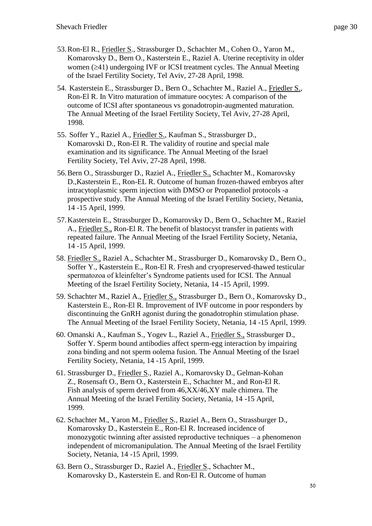- 53.Ron-El R., Friedler S., Strassburger D., Schachter M., Cohen O., Yaron M., Komarovsky D., Bern O., Kasterstein E., Raziel A. Uterine receptivity in older women  $(241)$  undergoing IVF or ICSI treatment cycles. The Annual Meeting of the Israel Fertility Society, Tel Aviv, 27-28 April, 1998.
- 54. Kasterstein E., Strassburger D., Bern O., Schachter M., Raziel A., Friedler S., Ron-El R. In Vitro maturation of immature oocytes: A comparison of the outcome of ICSI after spontaneous vs gonadotropin-augmented maturation. The Annual Meeting of the Israel Fertility Society, Tel Aviv, 27-28 April, 1998.
- 55. Soffer Y., Raziel A., Friedler S., Kaufman S., Strassburger D., Komarovski D., Ron-El R. The validity of routine and special male examination and its significance. The Annual Meeting of the Israel Fertility Society, Tel Aviv, 27-28 April, 1998.
- 56.Bern O., Strassburger D., Raziel A., Friedler S., Schachter M., Komarovsky D.,Kasterstein E., Ron-EL R. Outcome of human frozen-thawed embryos after intracytoplasmic sperm injection with DMSO or Propanediol protocols -a prospective study. The Annual Meeting of the Israel Fertility Society, Netania, 14 -15 April, 1999.
- 57.Kasterstein E., Strassburger D., Komarovsky D., Bern O., Schachter M., Raziel A., Friedler S., Ron-El R. The benefit of blastocyst transfer in patients with repeated failure. The Annual Meeting of the Israel Fertility Society, Netania, 14 -15 April, 1999.
- 58. Friedler S., Raziel A., Schachter M., Strassburger D., Komarovsky D., Bern O., Soffer Y., Kasterstein E., Ron-El R. Fresh and cryopreserved-thawed testicular spermatozoa of kleinfelter's Syndrome patients used for ICSI. The Annual Meeting of the Israel Fertility Society, Netania, 14 -15 April, 1999.
- 59. Schachter M., Raziel A., Friedler S., Strassburger D., Bern O., Komarovsky D., Kasterstein E., Ron-El R. Improvement of IVF outcome in poor responders by discontinuing the GnRH agonist during the gonadotrophin stimulation phase. The Annual Meeting of the Israel Fertility Society, Netania, 14 -15 April, 1999.
- 60. Omanski A., Kaufman S., Yogev L., Raziel A., Friedler S., Strassburger D., Soffer Y. Sperm bound antibodies affect sperm-egg interaction by impairing zona binding and not sperm oolema fusion. The Annual Meeting of the Israel Fertility Society, Netania, 14 -15 April, 1999.
- 61. Strassburger D., Friedler S., Raziel A., Komarovsky D., Gelman-Kohan Z., Rosensaft O., Bern O., Kasterstein E., Schachter M., and Ron-El R. Fish analysis of sperm derived from 46,XX/46,XY male chimera. The Annual Meeting of the Israel Fertility Society, Netania, 14 -15 April, 1999.
- 62. Schachter M., Yaron M., Friedler S., Raziel A., Bern O., Strassburger D., Komarovsky D., Kasterstein E., Ron-El R. Increased incidence of monozygotic twinning after assisted reproductive techniques – a phenomenon independent of micromanipulation. The Annual Meeting of the Israel Fertility Society, Netania, 14 -15 April, 1999.
- 63. Bern O., Strassburger D., Raziel A., Friedler S., Schachter M., Komarovsky D., Kasterstein E. and Ron-El R. Outcome of human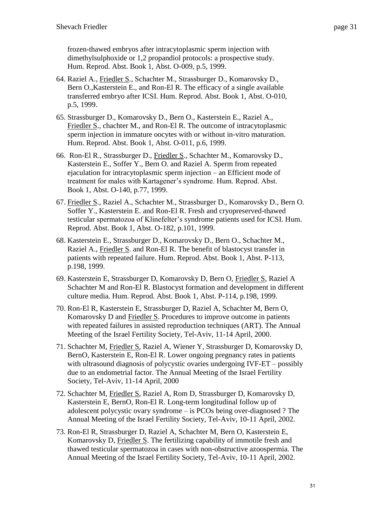frozen-thawed embryos after intracytoplasmic sperm injection with dimethylsulphoxide or 1,2 propandiol protocols: a prospective study. Hum. Reprod. Abst. Book 1, Abst. O-009, p.5, 1999.

- 64. Raziel A., Friedler S., Schachter M., Strassburger D., Komarovsky D., Bern O.,Kasterstein E., and Ron-El R. The efficacy of a single available transferred embryo after ICSI. Hum. Reprod. Abst. Book 1, Abst. O-010, p.5, 1999.
- 65. Strassburger D., Komarovsky D., Bern O., Kasterstein E., Raziel A., Friedler S., chachter M., and Ron-El R. The outcome of intracytoplasmic sperm injection in immature oocytes with or without in-vitro maturation. Hum. Reprod. Abst. Book 1, Abst. O-011, p.6, 1999.
- 66. Ron-El R., Strassburger D., Friedler S., Schachter M., Komarovsky D., Kasterstein E., Soffer Y., Bern O. and Raziel A. Sperm from repeated ejaculation for intracytoplasmic sperm injection – an Efficient mode of treatment for males with Kartagener's syndrome. Hum. Reprod. Abst. Book 1, Abst. O-140, p.77, 1999.
- 67. Friedler S., Raziel A., Schachter M., Strassburger D., Komarovsky D., Bern O. Soffer Y., Kasterstein E. and Ron-El R. Fresh and cryopreserved-thawed testicular spermatozoa of Klinefelter's syndrome patients used for ICSI. Hum. Reprod. Abst. Book 1, Abst. O-182, p.101, 1999.
- 68. Kasterstein E., Strassburger D., Komarovsky D., Bern O., Schachter M., Raziel A., Friedler S. and Ron-El R. The benefit of blastocyst transfer in patients with repeated failure. Hum. Reprod. Abst. Book 1, Abst. P-113, p.198, 1999.
- 69. Kasterstein E, Strassburger D, Komarovsky D, Bern O, Friedler S, Raziel A Schachter M and Ron-El R. Blastocyst formation and development in different culture media. Hum. Reprod. Abst. Book 1, Abst. P-114, p.198, 1999.
- 70. Ron-El R, Kasterstein E, Strassburger D, Raziel A, Schachter M, Bern O, Komarovsky D and Friedler S. Procedures to improve outcome in patients with repeated failures in assisted reproduction techniques (ART). The Annual Meeting of the Israel Fertility Society, Tel-Aviv, 11-14 April, 2000.
- 71. Schachter M, Friedler S, Raziel A, Wiener Y, Strassburger D, Komarovsky D, BernO, Kasterstein E, Ron-El R. Lower ongoing pregnancy rates in patients with ultrasound diagnosis of polycystic ovaries undergoing IVF-ET – possibly due to an endometrial factor. The Annual Meeting of the Israel Fertility Society, Tel-Aviv, 11-14 April, 2000
- 72. Schachter M, Friedler S, Raziel A, Rom D, Strassburger D, Komarovsky D, Kasterstein E, BernO, Ron-El R. Long-term longitudinal follow up of adolescent polycystic ovary syndrome – is PCOs being over-diagnosed ? The Annual Meeting of the Israel Fertility Society, Tel-Aviv, 10-11 April, 2002.
- 73. Ron-El R, Strassburger D, Raziel A, Schachter M, Bern O, Kasterstein E, Komarovsky D, Friedler S. The fertilizing capability of immotile fresh and thawed testicular spermatozoa in cases with non-obstructive azoospermia. The Annual Meeting of the Israel Fertility Society, Tel-Aviv, 10-11 April, 2002.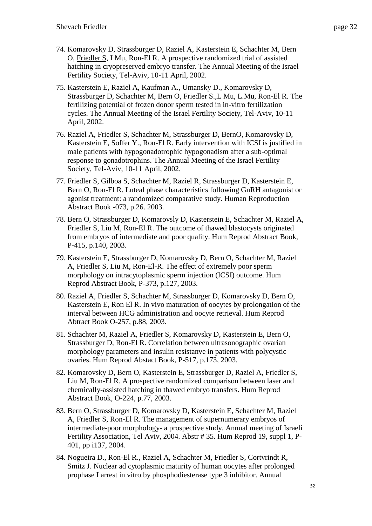- 74. Komarovsky D, Strassburger D, Raziel A, Kasterstein E, Schachter M, Bern O, Friedler S, LMu, Ron-El R. A prospective randomized trial of assisted hatching in cryopreserved embryo transfer. The Annual Meeting of the Israel Fertility Society, Tel-Aviv, 10-11 April, 2002.
- 75. Kasterstein E, Raziel A, Kaufman A., Umansky D., Komarovsky D, Strassburger D, Schachter M, Bern O, Friedler S.,L Mu, L.Mu, Ron-El R. The fertilizing potential of frozen donor sperm tested in in-vitro fertilization cycles. The Annual Meeting of the Israel Fertility Society, Tel-Aviv, 10-11 April, 2002.
- 76. Raziel A, Friedler S, Schachter M, Strassburger D, BernO, Komarovsky D, Kasterstein E, Soffer Y., Ron-El R. Early intervention with ICSI is justified in male patients with hypogonadotrophic hypogonadism after a sub-optimal response to gonadotrophins. The Annual Meeting of the Israel Fertility Society, Tel-Aviv, 10-11 April, 2002.
- 77. Friedler S, Gilboa S, Schachter M, Raziel R, Strassburger D, Kasterstein E, Bern O, Ron-El R. Luteal phase characteristics following GnRH antagonist or agonist treatment: a randomized comparative study. Human Reproduction Abstract Book -073, p.26. 2003.
- 78. Bern O, Strassburger D, Komarovsly D, Kasterstein E, Schachter M, Raziel A, Friedler S, Liu M, Ron-El R. The outcome of thawed blastocysts originated from embryos of intermediate and poor quality. Hum Reprod Abstract Book, P-415, p.140, 2003.
- 79. Kasterstein E, Strassburger D, Komarovsky D, Bern O, Schachter M, Raziel A, Friedler S, Liu M, Ron-El-R. The effect of extremely poor sperm morphology on intracytoplasmic sperm injection (ICSI) outcome. Hum Reprod Abstract Book, P-373, p.127, 2003.
- 80. Raziel A, Friedler S, Schachter M, Strassburger D, Komarovsky D, Bern O, Kasterstein E, Ron El R. In vivo maturation of oocytes by prolongation of the interval between HCG administration and oocyte retrieval. Hum Reprod Abtract Book O-257, p.88, 2003.
- 81. Schachter M, Raziel A, Friedler S, Komarovsky D, Kasterstein E, Bern O, Strassburger D, Ron-El R. Correlation between ultrasonographic ovarian morphology parameters and insulin resistanve in patients with polycystic ovaries. Hum Reprod Abstact Book, P-517, p.173, 2003.
- 82. Komarovsky D, Bern O, Kasterstein E, Strassburger D, Raziel A, Friedler S, Liu M, Ron-El R. A prospective randomized comparison between laser and chemically-assisted hatching in thawed embryo transfers. Hum Reprod Abstract Book, O-224, p.77, 2003.
- 83. Bern O, Strassburger D, Komarovsky D, Kasterstein E, Schachter M, Raziel A, Friedler S, Ron-El R. The management of supernumerary embryos of intermediate-poor morphology- a prospective study. Annual meeting of Israeli Fertility Association, Tel Aviv, 2004. Abstr # 35. Hum Reprod 19, suppl 1, P-401, pp i137, 2004.
- 84. Nogueira D., Ron-El R., Raziel A, Schachter M, Friedler S, Cortvrindt R, Smitz J. Nuclear ad cytoplasmic maturity of human oocytes after prolonged prophase I arrest in vitro by phosphodiesterase type 3 inhibitor. Annual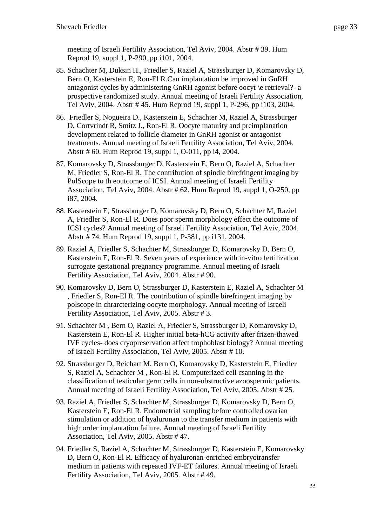meeting of Israeli Fertility Association, Tel Aviv, 2004. Abstr # 39. Hum Reprod 19, suppl 1, P-290, pp i101, 2004.

- 85. Schachter M, Duksin H., Friedler S, Raziel A, Strassburger D, Komarovsky D, Bern O, Kasterstein E, Ron-El R.Can implantation be improved in GnRH antagonist cycles by administering GnRH agonist before oocyt \e retrieval?- a prospective randomized study. Annual meeting of Israeli Fertility Association, Tel Aviv, 2004. Abstr # 45. Hum Reprod 19, suppl 1, P-296, pp i103, 2004.
- 86. Friedler S, Nogueira D., Kasterstein E, Schachter M, Raziel A, Strassburger D, Cortvrindt R, Smitz J., Ron-El R. Oocyte maturity and preimplanation development related to follicle diameter in GnRH agonist or antagonist treatments. Annual meeting of Israeli Fertility Association, Tel Aviv, 2004. Abstr # 60. Hum Reprod 19, suppl 1, O-011, pp i4, 2004.
- 87. Komarovsky D, Strassburger D, Kasterstein E, Bern O, Raziel A, Schachter M, Friedler S, Ron-El R. The contribution of spindle birefringent imaging by PolScope to th eoutcome of ICSI. Annual meeting of Israeli Fertility Association, Tel Aviv, 2004. Abstr # 62. Hum Reprod 19, suppl 1, O-250, pp i87, 2004.
- 88. Kasterstein E, Strassburger D, Komarovsky D, Bern O, Schachter M, Raziel A, Friedler S, Ron-El R. Does poor sperm morphology effect the outcome of ICSI cycles? Annual meeting of Israeli Fertility Association, Tel Aviv, 2004. Abstr # 74. Hum Reprod 19, suppl 1, P-381, pp i131, 2004.
- 89. Raziel A, Friedler S, Schachter M, Strassburger D, Komarovsky D, Bern O, Kasterstein E, Ron-El R. Seven years of experience with in-vitro fertilization surrogate gestational pregnancy programme. Annual meeting of Israeli Fertility Association, Tel Aviv, 2004. Abstr # 90.
- 90. Komarovsky D, Bern O, Strassburger D, Kasterstein E, Raziel A, Schachter M , Friedler S, Ron-El R. The contribution of spindle birefringent imaging by polscope in chrarcterizing oocyte morphology. Annual meeting of Israeli Fertility Association, Tel Aviv, 2005. Abstr # 3.
- 91. Schachter M , Bern O, Raziel A, Friedler S, Strassburger D, Komarovsky D, Kasterstein E, Ron-El R. Higher initial beta-hCG activity after frizen-thawed IVF cycles- does cryopreservation affect trophoblast biology? Annual meeting of Israeli Fertility Association, Tel Aviv, 2005. Abstr # 10.
- 92. Strassburger D, Reichart M, Bern O, Komarovsky D, Kasterstein E, Friedler S, Raziel A, Schachter M , Ron-El R. Computerized cell csanning in the classification of testicular germ cells in non-obstructive azoospermic patients. Annual meeting of Israeli Fertility Association, Tel Aviv, 2005. Abstr # 25.
- 93. Raziel A, Friedler S, Schachter M, Strassburger D, Komarovsky D, Bern O, Kasterstein E, Ron-El R. Endometrial sampling before controlled ovarian stimulation or addition of hyaluronan to the transfer medium in patients with high order implantation failure. Annual meeting of Israeli Fertility Association, Tel Aviv, 2005. Abstr # 47.
- 94. Friedler S, Raziel A, Schachter M, Strassburger D, Kasterstein E, Komarovsky D, Bern O, Ron-El R. Efficacy of hyaluronan-enriched embryotransfer medium in patients with repeated IVF-ET failures. Annual meeting of Israeli Fertility Association, Tel Aviv, 2005. Abstr # 49.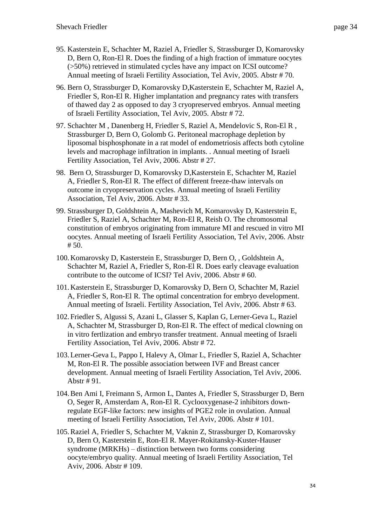- 95. Kasterstein E, Schachter M, Raziel A, Friedler S, Strassburger D, Komarovsky D, Bern O, Ron-El R. Does the finding of a high fraction of immature oocytes (>50%) retrieved in stimulated cycles have any impact on ICSI outcome? Annual meeting of Israeli Fertility Association, Tel Aviv, 2005. Abstr # 70.
- 96. Bern O, Strassburger D, Komarovsky D,Kasterstein E, Schachter M, Raziel A, Friedler S, Ron-El R. Higher implantation and pregnancy rates with transfers of thawed day 2 as opposed to day 3 cryopreserved embryos. Annual meeting of Israeli Fertility Association, Tel Aviv, 2005. Abstr # 72.
- 97. Schachter M , Danenberg H, Friedler S, Raziel A, Mendelovic S, Ron-El R , Strassburger D, Bern O, Golomb G. Peritoneal macrophage depletion by liposomal bisphosphonate in a rat model of endometriosis affects both cytoline levels and macrophage infiltration in implants. . Annual meeting of Israeli Fertility Association, Tel Aviv, 2006. Abstr # 27.
- 98. Bern O, Strassburger D, Komarovsky D,Kasterstein E, Schachter M, Raziel A, Friedler S, Ron-El R. The effect of different freeze-thaw intervals on outcome in cryopreservation cycles. Annual meeting of Israeli Fertility Association, Tel Aviv, 2006. Abstr # 33.
- 99. Strassburger D, Goldshtein A, Mashevich M, Komarovsky D, Kasterstein E, Friedler S, Raziel A, Schachter M, Ron-El R, Reish O. The chromosomal constitution of embryos originating from immature MI and rescued in vitro MI oocytes. Annual meeting of Israeli Fertility Association, Tel Aviv, 2006. Abstr  $# 50.$
- 100.Komarovsky D, Kasterstein E, Strassburger D, Bern O, , Goldshtein A, Schachter M, Raziel A, Friedler S, Ron-El R. Does early cleavage evaluation contribute to the outcome of ICSI? Tel Aviv, 2006. Abstr # 60.
- 101.Kasterstein E, Strassburger D, Komarovsky D, Bern O, Schachter M, Raziel A, Friedler S, Ron-El R. The optimal concentration for embryo development. Annual meeting of Israeli. Fertility Association, Tel Aviv, 2006. Abstr # 63.
- 102. Friedler S, Algussi S, Azani L, Glasser S, Kaplan G, Lerner-Geva L, Raziel A, Schachter M, Strassburger D, Ron-El R. The effect of medical clowning on in vitro fertlization and embryo transfer treatment. Annual meeting of Israeli Fertility Association, Tel Aviv, 2006. Abstr # 72.
- 103.Lerner-Geva L, Pappo I, Halevy A, Olmar L, Friedler S, Raziel A, Schachter M, Ron-El R. The possible association between IVF and Breast cancer development. Annual meeting of Israeli Fertility Association, Tel Aviv, 2006. Abstr # 91.
- 104.Ben Ami I, Freimann S, Armon L, Dantes A, Friedler S, Strassburger D, Bern O, Seger R, Amsterdam A, Ron-El R. Cyclooxygenase-2 inhibitors downregulate EGF-like factors: new insights of PGE2 role in ovulation. Annual meeting of Israeli Fertility Association, Tel Aviv, 2006. Abstr # 101.
- 105.Raziel A, Friedler S, Schachter M, Vaknin Z, Strassburger D, Komarovsky D, Bern O, Kasterstein E, Ron-El R. Mayer-Rokitansky-Kuster-Hauser syndrome (MRKHs) – distinction between two forms considering oocyte/embryo quality. Annual meeting of Israeli Fertility Association, Tel Aviv, 2006. Abstr # 109.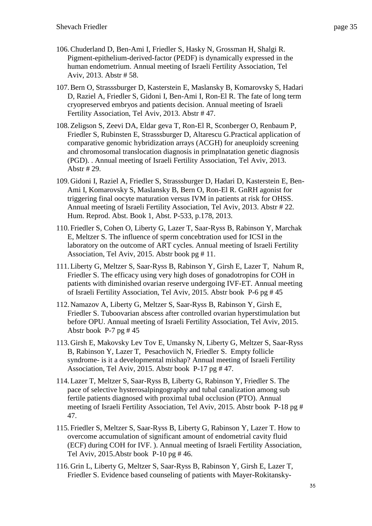- 106.Chuderland D, Ben-Ami I, Friedler S, Hasky N, Grossman H, Shalgi R. Pigment-epithelium-derived-factor (PEDF) is dynamically expressed in the human endometrium. Annual meeting of Israeli Fertility Association, Tel Aviv, 2013. Abstr # 58.
- 107.Bern O, Strasssburger D, Kasterstein E, Maslansky B, Komarovsky S, Hadari D, Raziel A, Friedler S, Gidoni I, Ben-Ami I, Ron-El R. The fate of long term cryopreserved embryos and patients decision. Annual meeting of Israeli Fertility Association, Tel Aviv, 2013. Abstr # 47.
- 108.Zeligson S, Zeevi DA, Eldar geva T, Ron-El R, Sconberger O, Renbaum P, Friedler S, Rubinsten E, Strasssburger D, Altarescu G.Practical application of comparative genomic hybridization arrays (ACGH) for aneuploidy screening and chromosomal translocation diagnosis in primplnatation genetic diagnosis (PGD). . Annual meeting of Israeli Fertility Association, Tel Aviv, 2013. Abstr # 29.
- 109.Gidoni I, Raziel A, Friedler S, Strasssburger D, Hadari D, Kasterstein E, Ben-Ami I, Komarovsky S, Maslansky B, Bern O, Ron-El R. GnRH agonist for triggering final oocyte maturation versus IVM in patients at risk for OHSS. Annual meeting of Israeli Fertility Association, Tel Aviv, 2013. Abstr # 22. Hum. Reprod. Abst. Book 1, Abst. P-533, p.178, 2013.
- 110. Friedler S, Cohen O, Liberty G, Lazer T, Saar-Ryss B, Rabinson Y, Marchak E, Meltzer S. The influence of sperm concebtration used for ICSI in the laboratory on the outcome of ART cycles. Annual meeting of Israeli Fertility Association, Tel Aviv, 2015. Abstr book pg # 11.
- 111.Liberty G, Meltzer S, Saar-Ryss B, Rabinson Y, Girsh E, Lazer T, Nahum R, Friedler S. The efficacy using very high doses of gonadotropins for COH in patients with diminished ovarian reserve undergoing IVF-ET. Annual meeting of Israeli Fertility Association, Tel Aviv, 2015. Abstr book P-6 pg # 45
- 112.Namazov A, Liberty G, Meltzer S, Saar-Ryss B, Rabinson Y, Girsh E, Friedler S. Tuboovarian abscess after controlled ovarian hyperstimulation but before OPU. Annual meeting of Israeli Fertility Association, Tel Aviv, 2015. Abstr book P-7 pg # 45
- 113.Girsh E, Makovsky Lev Tov E, Umansky N, Liberty G, Meltzer S, Saar-Ryss B, Rabinson Y, Lazer T, Pesachoviich N, Friedler S. Empty follicle syndrome- is it a developmental mishap? Annual meeting of Israeli Fertility Association, Tel Aviv, 2015. Abstr book P-17 pg # 47.
- 114.Lazer T, Meltzer S, Saar-Ryss B, Liberty G, Rabinson Y, Friedler S. The pace of selective hysterosalpingography and tubal canalization among sub fertile patients diagnosed with proximal tubal occlusion (PTO). Annual meeting of Israeli Fertility Association, Tel Aviv, 2015. Abstr book P-18 pg # 47.
- 115. Friedler S, Meltzer S, Saar-Ryss B, Liberty G, Rabinson Y, Lazer T. How to overcome accumulation of significant amount of endometrial cavity fluid (ECF) during COH for IVF. ). Annual meeting of Israeli Fertility Association, Tel Aviv, 2015.Abstr book P-10 pg # 46.
- 116.Grin L, Liberty G, Meltzer S, Saar-Ryss B, Rabinson Y, Girsh E, Lazer T, Friedler S. Evidence based counseling of patients with Mayer-Rokitansky-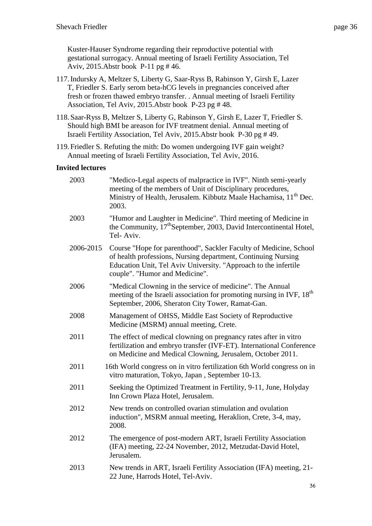Kuster-Hauser Syndrome regarding their reproductive potential with gestational surrogacy. Annual meeting of Israeli Fertility Association, Tel Aviv, 2015.Abstr book P-11 pg # 46.

- 117.Indursky A, Meltzer S, Liberty G, Saar-Ryss B, Rabinson Y, Girsh E, Lazer T, Friedler S. Early serom beta-hCG levels in pregnancies conceived after fresh or frozen thawed embryo transfer. . Annual meeting of Israeli Fertility Association, Tel Aviv, 2015.Abstr book P-23 pg # 48.
- 118. Saar-Ryss B, Meltzer S, Liberty G, Rabinson Y, Girsh E, Lazer T, Friedler S. Should high BMI be areason for IVF treatment denial. Annual meeting of Israeli Fertility Association, Tel Aviv, 2015.Abstr book P-30 pg # 49.
- 119. Friedler S. Refuting the mith: Do women undergoing IVF gain weight? Annual meeting of Israeli Fertility Association, Tel Aviv, 2016.

# **Invited lectures**

| 2003      | "Medico-Legal aspects of malpractice in IVF". Ninth semi-yearly<br>meeting of the members of Unit of Disciplinary procedures,<br>Ministry of Health, Jerusalem. Kibbutz Maale Hachamisa, 11 <sup>th</sup> Dec.<br>2003.                 |
|-----------|-----------------------------------------------------------------------------------------------------------------------------------------------------------------------------------------------------------------------------------------|
| 2003      | "Humor and Laughter in Medicine". Third meeting of Medicine in<br>the Community, 17 <sup>th</sup> September, 2003, David Intercontinental Hotel,<br>Tel-Aviv.                                                                           |
| 2006-2015 | Course "Hope for parenthood", Sackler Faculty of Medicine, School<br>of health professions, Nursing department, Continuing Nursing<br>Education Unit, Tel Aviv University. "Approach to the infertile<br>couple". "Humor and Medicine". |
| 2006      | "Medical Clowning in the service of medicine". The Annual<br>meeting of the Israeli association for promoting nursing in IVF, 18 <sup>th</sup><br>September, 2006, Sheraton City Tower, Ramat-Gan.                                      |
| 2008      | Management of OHSS, Middle East Society of Reproductive<br>Medicine (MSRM) annual meeting, Crete.                                                                                                                                       |
| 2011      | The effect of medical clowning on pregnancy rates after in vitro<br>fertilization and embryo transfer (IVF-ET). International Conference<br>on Medicine and Medical Clowning, Jerusalem, October 2011.                                  |
| 2011      | 16th World congress on in vitro fertilization 6th World congress on in<br>vitro maturation, Tokyo, Japan, September 10-13.                                                                                                              |
| 2011      | Seeking the Optimized Treatment in Fertility, 9-11, June, Holyday<br>Inn Crown Plaza Hotel, Jerusalem.                                                                                                                                  |
| 2012      | New trends on controlled ovarian stimulation and ovulation<br>induction", MSRM annual meeting, Heraklion, Crete, 3-4, may,<br>2008.                                                                                                     |
| 2012      | The emergence of post-modern ART, Israeli Fertility Association<br>(IFA) meeting, 22-24 November, 2012, Metzudat-David Hotel,<br>Jerusalem.                                                                                             |
| 2013      | New trends in ART, Israeli Fertility Association (IFA) meeting, 21-<br>22 June, Harrods Hotel, Tel-Aviv.                                                                                                                                |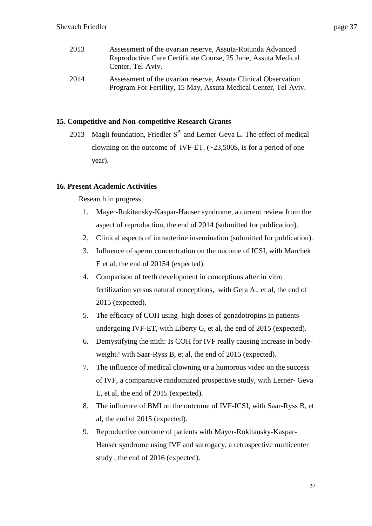| 2013 | Assessment of the ovarian reserve, Assuta-Rotunda Advanced<br>Reproductive Care Certificate Course, 25 June, Assuta Medical<br>Center, Tel-Aviv. |
|------|--------------------------------------------------------------------------------------------------------------------------------------------------|
| 2014 | Assessment of the ovarian reserve, Assuta Clinical Observation                                                                                   |

Program For Fertility, 15 May, Assuta Medical Center, Tel-Aviv.

# **15. Competitive and Non-competitive Research Grants**

2013 Magli foundation, Friedler  $S<sup>PI</sup>$  and Lerner-Geva L. The effect of medical clowning on the outcome of IVF-ET.  $(-23,500\$ <sub>5</sub>, is for a period of one year).

# **16. Present Academic Activities**

Research in progress

- 1. Mayer-Rokitansky-Kaspar-Hauser syndrome, a current review from the aspect of reproduction, the end of 2014 (submitted for publication).
- 2. Clinical aspects of intrauterine insemination (submitted for publication).
- 3. Influence of sperm concentration on the oucome of ICSI, with Marchek E et al, the end of 20154 (expected).
- 4. Comparison of teeth development in conceptions after in vitro fertilization versus natural conceptions, with Gera A., et al, the end of 2015 (expected).
- 5. The efficacy of COH using high doses of gonadotropins in patients undergoing IVF-ET, with Liberty G, et al, the end of 2015 (expected).
- 6. Demystifying the mith: Is COH for IVF really causing increase in bodyweight? with Saar-Ryss B, et al, the end of 2015 (expected).
- 7. The influence of medical clowning or a humorous video on the success of IVF, a comparative randomized prospective study, with Lerner- Geva L, et al, the end of 2015 (expected).
- 8. The influence of BMI on the outcome of IVF-ICSI, with Saar-Ryss B, et al, the end of 2015 (expected).
- 9. Reproductive outcome of patients with Mayer-Rokitansky-Kaspar-Hauser syndrome using IVF and surrogacy, a retrospective multicenter study , the end of 2016 (expected).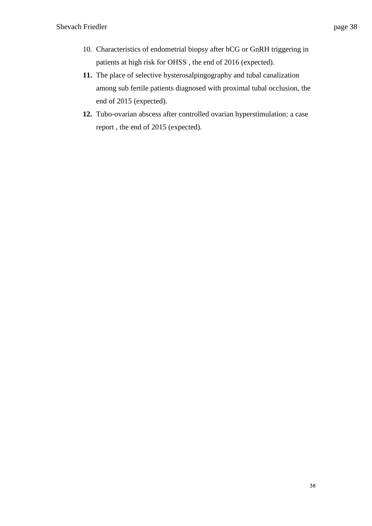- 10. Characteristics of endometrial biopsy after hCG or GnRH triggering in patients at high risk for OHSS , the end of 2016 (expected).
- **11.** The place of selective hysterosalpingography and tubal canalization among sub fertile patients diagnosed with proximal tubal occlusion, the end of 2015 (expected).
- **12.** Tubo-ovarian abscess after controlled ovarian hyperstimulation: a case report , the end of 2015 (expected).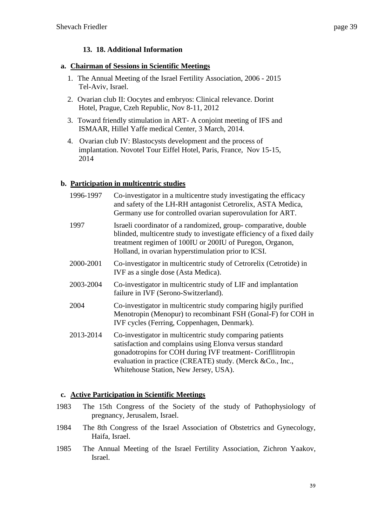# **13. 18. Additional Information**

### **a. Chairman of Sessions in Scientific Meetings**

- 1. The Annual Meeting of the Israel Fertility Association, 2006 2015 Tel-Aviv, Israel.
- 2. Ovarian club II: Oocytes and embryos: Clinical relevance. Dorint Hotel, Prague, Czeh Republic, Nov 8-11, 2012
- 3. Toward friendly stimulation in ART- A conjoint meeting of IFS and ISMAAR, Hillel Yaffe medical Center, 3 March, 2014.
- 4. Ovarian club IV: Blastocysts development and the process of implantation. Novotel Tour Eiffel Hotel, Paris, France, Nov 15-15, 2014

# **b. Participation in multicentric studies**

| 1996-1997 | Co-investigator in a multicentre study investigating the efficacy<br>and safety of the LH-RH antagonist Cetrorelix, ASTA Medica,<br>Germany use for controlled ovarian superovulation for ART.                                                                                          |
|-----------|-----------------------------------------------------------------------------------------------------------------------------------------------------------------------------------------------------------------------------------------------------------------------------------------|
| 1997      | Israeli coordinator of a randomized, group-comparative, double<br>blinded, multicentre study to investigate efficiency of a fixed daily<br>treatment regimen of 100IU or 200IU of Puregon, Organon,<br>Holland, in ovarian hyperstimulation prior to ICSI.                              |
| 2000-2001 | Co-investigator in multicentric study of Cetrorelix (Cetrotide) in<br>IVF as a single dose (Asta Medica).                                                                                                                                                                               |
| 2003-2004 | Co-investigator in multicentric study of LIF and implantation<br>failure in IVF (Serono-Switzerland).                                                                                                                                                                                   |
| 2004      | Co-investigator in multicentric study comparing higjly purified<br>Menotropin (Menopur) to recombinant FSH (Gonal-F) for COH in<br>IVF cycles (Ferring, Coppenhagen, Denmark).                                                                                                          |
| 2013-2014 | Co-investigator in multicentric study comparing patients<br>satisfaction and complains using Elonya versus standard<br>gonadotropins for COH during IVF treatment- Corifllitropin<br>evaluation in practice (CREATE) study. (Merck &Co., Inc.,<br>Whitehouse Station, New Jersey, USA). |

# **c. Active Participation in Scientific Meetings**

- 1983 The 15th Congress of the Society of the study of Pathophysiology of pregnancy, Jerusalem, Israel.
- 1984 The 8th Congress of the Israel Association of Obstetrics and Gynecology, Haifa, Israel.
- 1985 The Annual Meeting of the Israel Fertility Association, Zichron Yaakov, Israel.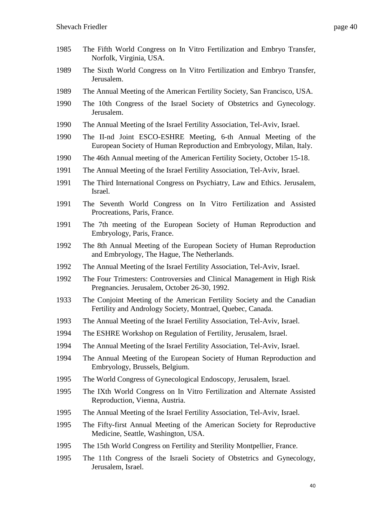- The Fifth World Congress on In Vitro Fertilization and Embryo Transfer, Norfolk, Virginia, USA.
- The Sixth World Congress on In Vitro Fertilization and Embryo Transfer, Jerusalem.
- The Annual Meeting of the American Fertility Society, San Francisco, USA.
- The 10th Congress of the Israel Society of Obstetrics and Gynecology. Jerusalem.
- The Annual Meeting of the Israel Fertility Association, Tel-Aviv, Israel.
- The II-nd Joint ESCO-ESHRE Meeting, 6-th Annual Meeting of the European Society of Human Reproduction and Embryology, Milan, Italy.
- The 46th Annual meeting of the American Fertility Society, October 15-18.
- The Annual Meeting of the Israel Fertility Association, Tel-Aviv, Israel.
- The Third International Congress on Psychiatry, Law and Ethics. Jerusalem, Israel.
- The Seventh World Congress on In Vitro Fertilization and Assisted Procreations, Paris, France.
- The 7th meeting of the European Society of Human Reproduction and Embryology, Paris, France.
- The 8th Annual Meeting of the European Society of Human Reproduction and Embryology, The Hague, The Netherlands.
- The Annual Meeting of the Israel Fertility Association, Tel-Aviv, Israel.
- The Four Trimesters: Controversies and Clinical Management in High Risk Pregnancies. Jerusalem, October 26-30, 1992.
- The Conjoint Meeting of the American Fertility Society and the Canadian Fertility and Andrology Society, Montrael, Quebec, Canada.
- The Annual Meeting of the Israel Fertility Association, Tel-Aviv, Israel.
- The ESHRE Workshop on Regulation of Fertility, Jerusalem, Israel.
- The Annual Meeting of the Israel Fertility Association, Tel-Aviv, Israel.
- The Annual Meeting of the European Society of Human Reproduction and Embryology, Brussels, Belgium.
- The World Congress of Gynecological Endoscopy, Jerusalem, Israel.
- The IXth World Congress on In Vitro Fertilization and Alternate Assisted Reproduction, Vienna, Austria.
- The Annual Meeting of the Israel Fertility Association, Tel-Aviv, Israel.
- The Fifty-first Annual Meeting of the American Society for Reproductive Medicine, Seattle, Washington, USA.
- The 15th World Congress on Fertility and Sterility Montpellier, France.
- The 11th Congress of the Israeli Society of Obstetrics and Gynecology, Jerusalem, Israel.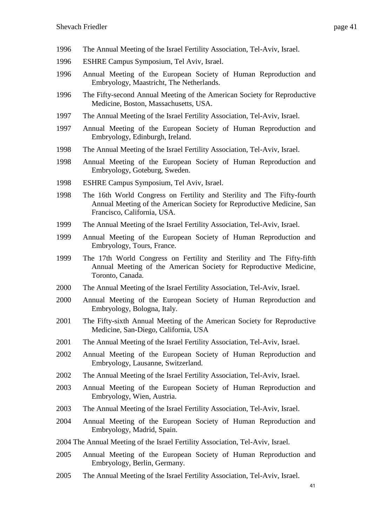- The Annual Meeting of the Israel Fertility Association, Tel-Aviv, Israel.
- ESHRE Campus Symposium, Tel Aviv, Israel.
- Annual Meeting of the European Society of Human Reproduction and Embryology, Maastricht, The Netherlands.
- The Fifty-second Annual Meeting of the American Society for Reproductive Medicine, Boston, Massachusetts, USA.
- The Annual Meeting of the Israel Fertility Association, Tel-Aviv, Israel.
- Annual Meeting of the European Society of Human Reproduction and Embryology, Edinburgh, Ireland.
- The Annual Meeting of the Israel Fertility Association, Tel-Aviv, Israel.
- Annual Meeting of the European Society of Human Reproduction and Embryology, Goteburg, Sweden.
- ESHRE Campus Symposium, Tel Aviv, Israel.
- The 16th World Congress on Fertility and Sterility and The Fifty-fourth Annual Meeting of the American Society for Reproductive Medicine, San Francisco, California, USA.
- The Annual Meeting of the Israel Fertility Association, Tel-Aviv, Israel.
- Annual Meeting of the European Society of Human Reproduction and Embryology, Tours, France.
- The 17th World Congress on Fertility and Sterility and The Fifty-fifth Annual Meeting of the American Society for Reproductive Medicine, Toronto, Canada.
- The Annual Meeting of the Israel Fertility Association, Tel-Aviv, Israel.
- Annual Meeting of the European Society of Human Reproduction and Embryology, Bologna, Italy.
- The Fifty-sixth Annual Meeting of the American Society for Reproductive Medicine, San-Diego, California, USA
- The Annual Meeting of the Israel Fertility Association, Tel-Aviv, Israel.
- Annual Meeting of the European Society of Human Reproduction and Embryology, Lausanne, Switzerland.
- The Annual Meeting of the Israel Fertility Association, Tel-Aviv, Israel.
- Annual Meeting of the European Society of Human Reproduction and Embryology, Wien, Austria.
- The Annual Meeting of the Israel Fertility Association, Tel-Aviv, Israel.
- Annual Meeting of the European Society of Human Reproduction and Embryology, Madrid, Spain.
- The Annual Meeting of the Israel Fertility Association, Tel-Aviv, Israel.
- Annual Meeting of the European Society of Human Reproduction and Embryology, Berlin, Germany.
- The Annual Meeting of the Israel Fertility Association, Tel-Aviv, Israel.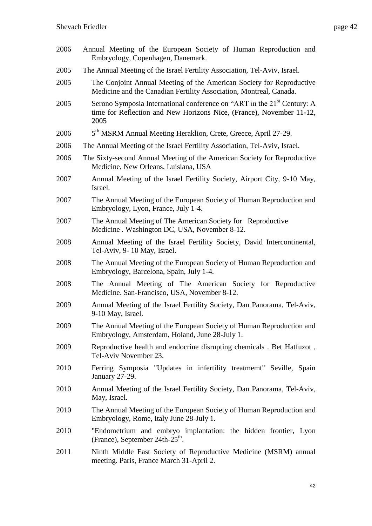2006 Annual Meeting of the European Society of Human Reproduction and Embryology, Copenhagen, Danemark. 2005 The Annual Meeting of the Israel Fertility Association, Tel-Aviv, Israel. 2005 The Conjoint Annual Meeting of the American Society for Reproductive Medicine and the Canadian Fertility Association, Montreal, Canada. 2005 Serono Symposia International conference on "ART in the 21<sup>st</sup> Century: A time for Reflection and New Horizons Nice, (France), November 11-12, 2005 2006 5<sup>th</sup> MSRM Annual Meeting Heraklion, Crete, Greece, April 27-29. 2006 The Annual Meeting of the Israel Fertility Association, Tel-Aviv, Israel. 2006 The Sixty-second Annual Meeting of the American Society for Reproductive Medicine, New Orleans, Luisiana, USA 2007 Annual Meeting of the Israel Fertility Society, Airport City, 9-10 May, Israel. 2007 The Annual Meeting of the European Society of Human Reproduction and Embryology, Lyon, France, July 1-4. 2007 The Annual Meeting of The American Society for Reproductive Medicine . Washington DC, USA, November 8-12. 2008 Annual Meeting of the Israel Fertility Society, David Intercontinental, Tel-Aviv, 9- 10 May, Israel. 2008 The Annual Meeting of the European Society of Human Reproduction and Embryology, Barcelona, Spain, July 1-4. 2008 The Annual Meeting of The American Society for Reproductive Medicine. San-Francisco, USA, November 8-12. 2009 Annual Meeting of the Israel Fertility Society, Dan Panorama, Tel-Aviv, 9-10 May, Israel. 2009 The Annual Meeting of the European Society of Human Reproduction and Embryology, Amsterdam, Holand, June 28-July 1. 2009 Reproductive health and endocrine disrupting chemicals . Bet Hatfuzot , Tel-Aviv November 23. 2010 Ferring Symposia "Updates in infertility treatmemt" Seville, Spain January 27-29. 2010 Annual Meeting of the Israel Fertility Society, Dan Panorama, Tel-Aviv, May, Israel. 2010 The Annual Meeting of the European Society of Human Reproduction and Embryology, Rome, Italy June 28-July 1. 2010 "Endometrium and embryo implantation: the hidden frontier, Lyon (France), September  $24th-25<sup>th</sup>$ . 2011 Ninth Middle East Society of Reproductive Medicine (MSRM) annual meeting. Paris, France March 31-April 2.